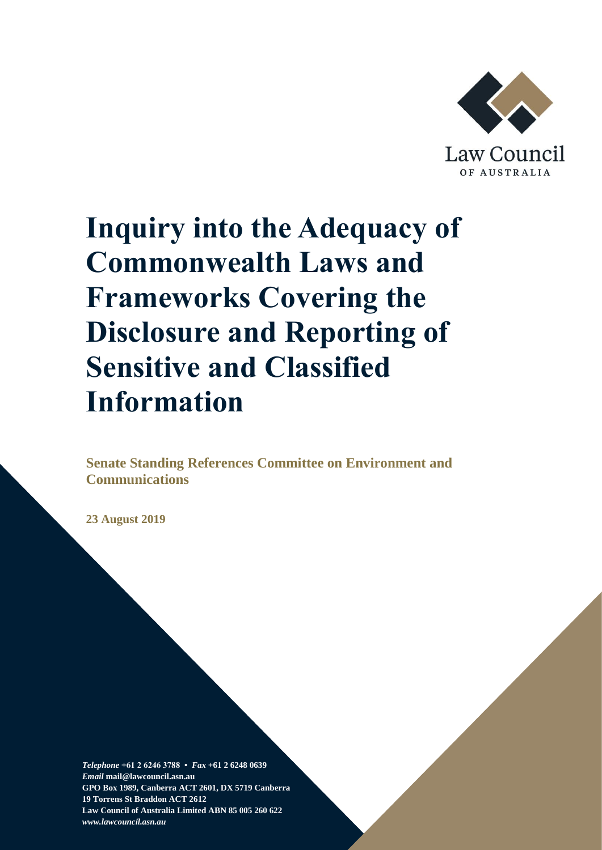

# **Inquiry into the Adequacy of Commonwealth Laws and Frameworks Covering the Disclosure and Reporting of Sensitive and Classified Information**

**Senate Standing References Committee on Environment and Communications** 

**23 August 2019**

*Telephone* **+61 2 6246 3788 •** *Fax* **+61 2 6248 0639**  *Email* **mail@lawcouncil.asn.au GPO Box 1989, Canberra ACT 2601, DX 5719 Canberra 19 Torrens St Braddon ACT 2612 Law Council of Australia Limited ABN 85 005 260 622** *www.lawcouncil.asn.au*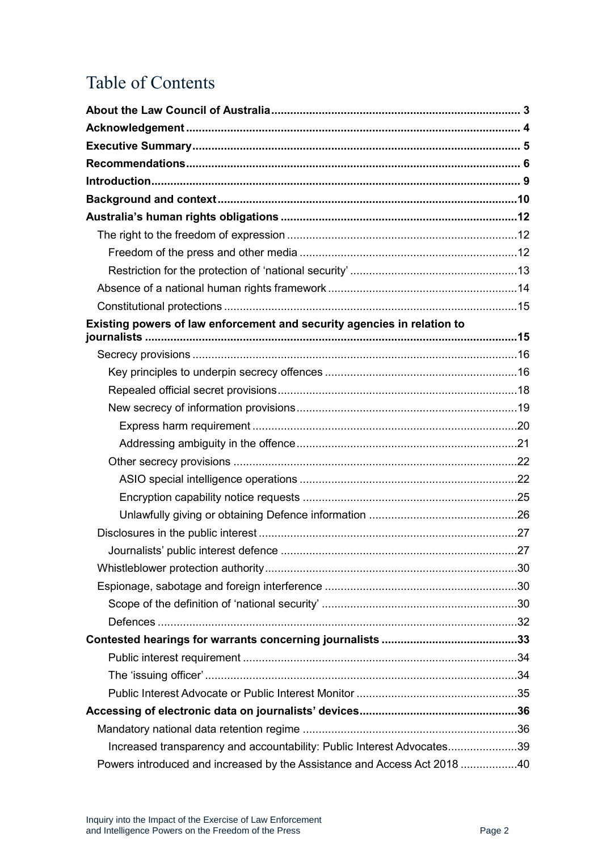# Table of Contents

| Existing powers of law enforcement and security agencies in relation to  |  |
|--------------------------------------------------------------------------|--|
|                                                                          |  |
|                                                                          |  |
|                                                                          |  |
|                                                                          |  |
|                                                                          |  |
|                                                                          |  |
|                                                                          |  |
|                                                                          |  |
|                                                                          |  |
|                                                                          |  |
|                                                                          |  |
|                                                                          |  |
|                                                                          |  |
|                                                                          |  |
|                                                                          |  |
|                                                                          |  |
|                                                                          |  |
|                                                                          |  |
|                                                                          |  |
|                                                                          |  |
|                                                                          |  |
|                                                                          |  |
| Increased transparency and accountability: Public Interest Advocates39   |  |
| Powers introduced and increased by the Assistance and Access Act 2018 40 |  |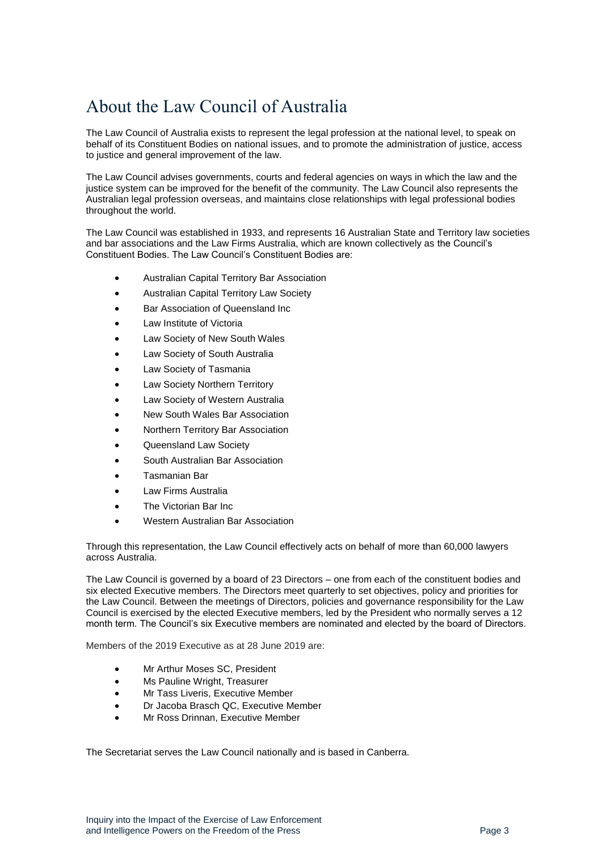# <span id="page-2-0"></span>About the Law Council of Australia

The Law Council of Australia exists to represent the legal profession at the national level, to speak on behalf of its Constituent Bodies on national issues, and to promote the administration of justice, access to justice and general improvement of the law.

The Law Council advises governments, courts and federal agencies on ways in which the law and the justice system can be improved for the benefit of the community. The Law Council also represents the Australian legal profession overseas, and maintains close relationships with legal professional bodies throughout the world.

The Law Council was established in 1933, and represents 16 Australian State and Territory law societies and bar associations and the Law Firms Australia, which are known collectively as the Council's Constituent Bodies. The Law Council's Constituent Bodies are:

- Australian Capital Territory Bar Association
- Australian Capital Territory Law Society
- Bar Association of Queensland Inc
- Law Institute of Victoria
- Law Society of New South Wales
- Law Society of South Australia
- Law Society of Tasmania
- Law Society Northern Territory
- Law Society of Western Australia
- New South Wales Bar Association
- Northern Territory Bar Association
- Queensland Law Society
- South Australian Bar Association
- Tasmanian Bar
- Law Firms Australia
- The Victorian Bar Inc
- Western Australian Bar Association

Through this representation, the Law Council effectively acts on behalf of more than 60,000 lawyers across Australia.

The Law Council is governed by a board of 23 Directors – one from each of the constituent bodies and six elected Executive members. The Directors meet quarterly to set objectives, policy and priorities for the Law Council. Between the meetings of Directors, policies and governance responsibility for the Law Council is exercised by the elected Executive members, led by the President who normally serves a 12 month term. The Council's six Executive members are nominated and elected by the board of Directors.

Members of the 2019 Executive as at 28 June 2019 are:

- Mr Arthur Moses SC, President
- Ms Pauline Wright, Treasurer
- Mr Tass Liveris, Executive Member
- Dr Jacoba Brasch QC, Executive Member
- Mr Ross Drinnan, Executive Member

The Secretariat serves the Law Council nationally and is based in Canberra.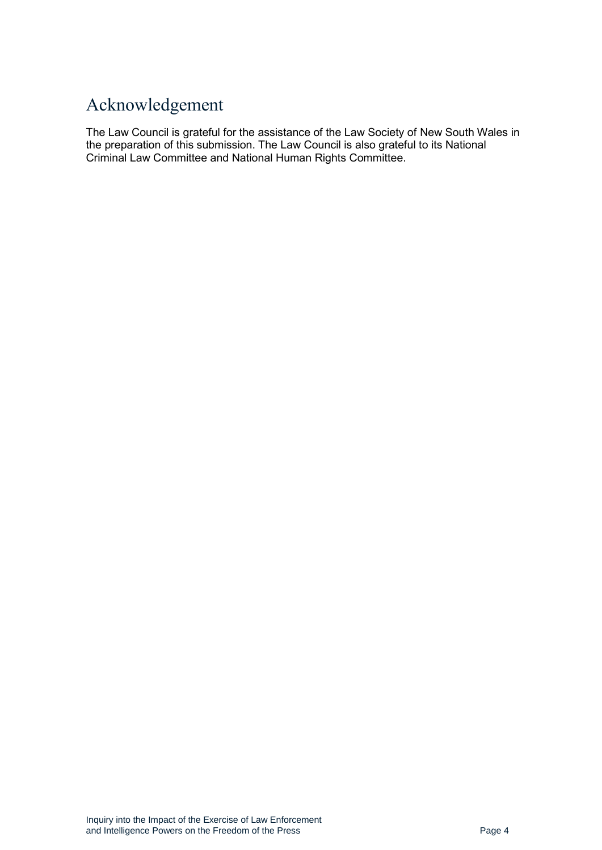# <span id="page-3-0"></span>Acknowledgement

The Law Council is grateful for the assistance of the Law Society of New South Wales in the preparation of this submission. The Law Council is also grateful to its National Criminal Law Committee and National Human Rights Committee.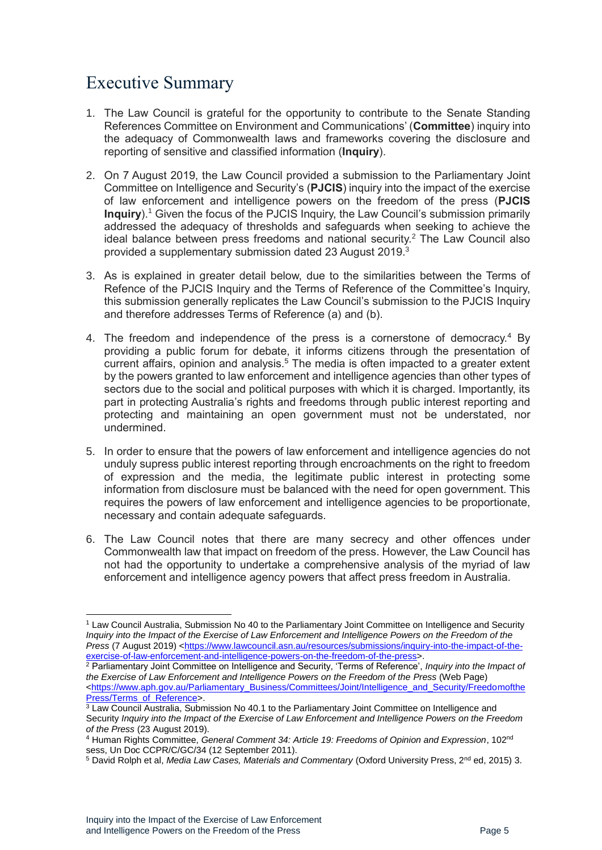# <span id="page-4-0"></span>Executive Summary

- 1. The Law Council is grateful for the opportunity to contribute to the Senate Standing References Committee on Environment and Communications' (**Committee**) inquiry into the adequacy of Commonwealth laws and frameworks covering the disclosure and reporting of sensitive and classified information (**Inquiry**).
- 2. On 7 August 2019, the Law Council provided a submission to the Parliamentary Joint Committee on Intelligence and Security's (**PJCIS**) inquiry into the impact of the exercise of law enforcement and intelligence powers on the freedom of the press (**PJCIS Inquiry**).<sup>1</sup> Given the focus of the PJCIS Inquiry, the Law Council's submission primarily addressed the adequacy of thresholds and safeguards when seeking to achieve the ideal balance between press freedoms and national security. <sup>2</sup> The Law Council also provided a supplementary submission dated 23 August 2019.<sup>3</sup>
- 3. As is explained in greater detail below, due to the similarities between the Terms of Refence of the PJCIS Inquiry and the Terms of Reference of the Committee's Inquiry, this submission generally replicates the Law Council's submission to the PJCIS Inquiry and therefore addresses Terms of Reference (a) and (b).
- 4. The freedom and independence of the press is a cornerstone of democracy.<sup>4</sup> By providing a public forum for debate, it informs citizens through the presentation of current affairs, opinion and analysis.<sup>5</sup> The media is often impacted to a greater extent by the powers granted to law enforcement and intelligence agencies than other types of sectors due to the social and political purposes with which it is charged. Importantly, its part in protecting Australia's rights and freedoms through public interest reporting and protecting and maintaining an open government must not be understated, nor undermined.
- 5. In order to ensure that the powers of law enforcement and intelligence agencies do not unduly supress public interest reporting through encroachments on the right to freedom of expression and the media, the legitimate public interest in protecting some information from disclosure must be balanced with the need for open government. This requires the powers of law enforcement and intelligence agencies to be proportionate, necessary and contain adequate safeguards.
- 6. The Law Council notes that there are many secrecy and other offences under Commonwealth law that impact on freedom of the press. However, the Law Council has not had the opportunity to undertake a comprehensive analysis of the myriad of law enforcement and intelligence agency powers that affect press freedom in Australia.

<sup>1</sup> Law Council Australia, Submission No 40 to the Parliamentary Joint Committee on Intelligence and Security *Inquiry into the Impact of the Exercise of Law Enforcement and Intelligence Powers on the Freedom of the Press* (7 August 2019) [<https://www.lawcouncil.asn.au/resources/submissions/inquiry-into-the-impact-of-the](https://www.lawcouncil.asn.au/resources/submissions/inquiry-into-the-impact-of-the-exercise-of-law-enforcement-and-intelligence-powers-on-the-freedom-of-the-press)[exercise-of-law-enforcement-and-intelligence-powers-on-the-freedom-of-the-press>](https://www.lawcouncil.asn.au/resources/submissions/inquiry-into-the-impact-of-the-exercise-of-law-enforcement-and-intelligence-powers-on-the-freedom-of-the-press).

<sup>2</sup> Parliamentary Joint Committee on Intelligence and Security, 'Terms of Reference', *Inquiry into the Impact of the Exercise of Law Enforcement and Intelligence Powers on the Freedom of the Press* (Web Page) [<https://www.aph.gov.au/Parliamentary\\_Business/Committees/Joint/Intelligence\\_and\\_Security/Freedomofthe](https://www.aph.gov.au/Parliamentary_Business/Committees/Joint/Intelligence_and_Security/FreedomofthePress/Terms_of_Reference) [Press/Terms\\_of\\_Reference>](https://www.aph.gov.au/Parliamentary_Business/Committees/Joint/Intelligence_and_Security/FreedomofthePress/Terms_of_Reference).

<sup>3</sup> Law Council Australia, Submission No 40.1 to the Parliamentary Joint Committee on Intelligence and Security *Inquiry into the Impact of the Exercise of Law Enforcement and Intelligence Powers on the Freedom of the Press* (23 August 2019).

<sup>4</sup> Human Rights Committee, *General Comment 34: Article 19: Freedoms of Opinion and Expression*, 102nd sess, Un Doc CCPR/C/GC/34 (12 September 2011).

<sup>5</sup> David Rolph et al, *Media Law Cases, Materials and Commentary* (Oxford University Press, 2nd ed, 2015) 3.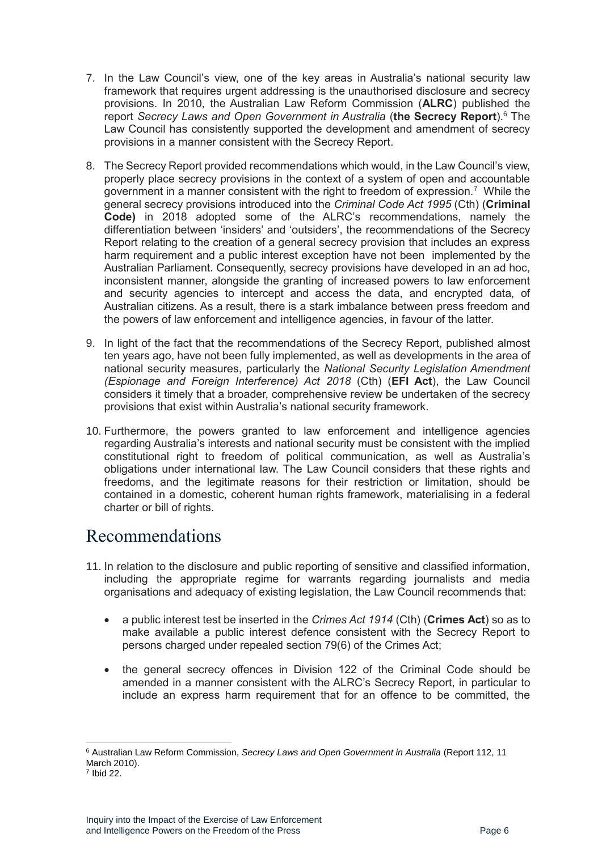- 7. In the Law Council's view, one of the key areas in Australia's national security law framework that requires urgent addressing is the unauthorised disclosure and secrecy provisions. In 2010, the Australian Law Reform Commission (**ALRC**) published the report *Secrecy Laws and Open Government in Australia* (**the Secrecy Report**).<sup>6</sup> The Law Council has consistently supported the development and amendment of secrecy provisions in a manner consistent with the Secrecy Report.
- 8. The Secrecy Report provided recommendations which would, in the Law Council's view, properly place secrecy provisions in the context of a system of open and accountable government in a manner consistent with the right to freedom of expression.<sup>7</sup> While the general secrecy provisions introduced into the *Criminal Code Act 1995* (Cth) (**Criminal Code)** in 2018 adopted some of the ALRC's recommendations, namely the differentiation between 'insiders' and 'outsiders', the recommendations of the Secrecy Report relating to the creation of a general secrecy provision that includes an express harm requirement and a public interest exception have not been implemented by the Australian Parliament. Consequently, secrecy provisions have developed in an ad hoc, inconsistent manner, alongside the granting of increased powers to law enforcement and security agencies to intercept and access the data, and encrypted data, of Australian citizens. As a result, there is a stark imbalance between press freedom and the powers of law enforcement and intelligence agencies, in favour of the latter.
- 9. In light of the fact that the recommendations of the Secrecy Report, published almost ten years ago, have not been fully implemented, as well as developments in the area of national security measures, particularly the *National Security Legislation Amendment (Espionage and Foreign Interference) Act 2018* (Cth) (**EFI Act**), the Law Council considers it timely that a broader, comprehensive review be undertaken of the secrecy provisions that exist within Australia's national security framework.
- 10. Furthermore, the powers granted to law enforcement and intelligence agencies regarding Australia's interests and national security must be consistent with the implied constitutional right to freedom of political communication, as well as Australia's obligations under international law. The Law Council considers that these rights and freedoms, and the legitimate reasons for their restriction or limitation, should be contained in a domestic, coherent human rights framework, materialising in a federal charter or bill of rights.

# <span id="page-5-0"></span>Recommendations

- 11. In relation to the disclosure and public reporting of sensitive and classified information, including the appropriate regime for warrants regarding journalists and media organisations and adequacy of existing legislation, the Law Council recommends that:
	- a public interest test be inserted in the *Crimes Act 1914* (Cth) (**Crimes Act**) so as to make available a public interest defence consistent with the Secrecy Report to persons charged under repealed section 79(6) of the Crimes Act;
	- the general secrecy offences in Division 122 of the Criminal Code should be amended in a manner consistent with the ALRC's Secrecy Report, in particular to include an express harm requirement that for an offence to be committed, the

<sup>6</sup> Australian Law Reform Commission, *Secrecy Laws and Open Government in Australia* (Report 112, 11 March 2010).

<sup>7</sup> Ibid 22.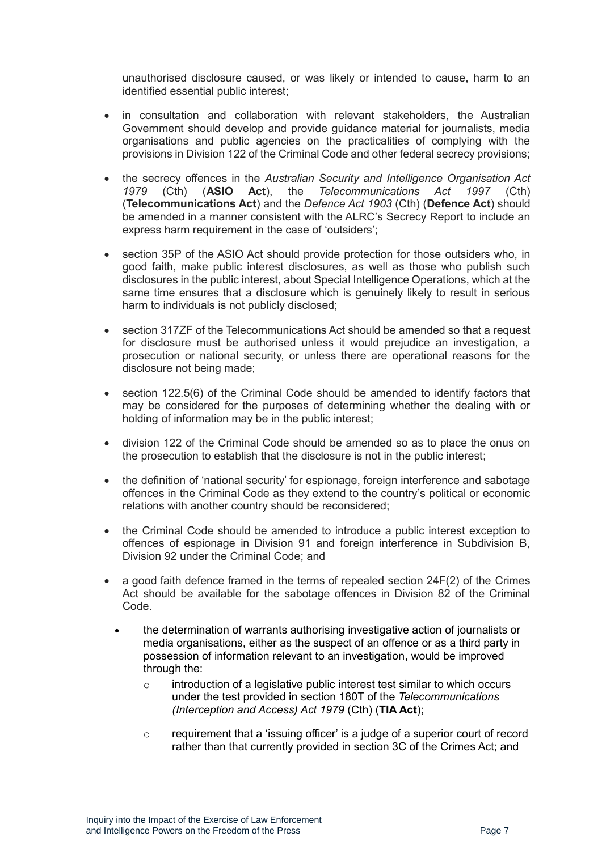unauthorised disclosure caused, or was likely or intended to cause, harm to an identified essential public interest;

- in consultation and collaboration with relevant stakeholders, the Australian Government should develop and provide guidance material for journalists, media organisations and public agencies on the practicalities of complying with the provisions in Division 122 of the Criminal Code and other federal secrecy provisions;
- the secrecy offences in the *Australian Security and Intelligence Organisation Act 1979* (Cth) (**ASIO Act**), the *Telecommunications Act 1997* (Cth) (**Telecommunications Act**) and the *Defence Act 1903* (Cth) (**Defence Act**) should be amended in a manner consistent with the ALRC's Secrecy Report to include an express harm requirement in the case of 'outsiders';
- section 35P of the ASIO Act should provide protection for those outsiders who, in good faith, make public interest disclosures, as well as those who publish such disclosures in the public interest, about Special Intelligence Operations, which at the same time ensures that a disclosure which is genuinely likely to result in serious harm to individuals is not publicly disclosed;
- section 317ZF of the Telecommunications Act should be amended so that a request for disclosure must be authorised unless it would prejudice an investigation, a prosecution or national security, or unless there are operational reasons for the disclosure not being made;
- section 122.5(6) of the Criminal Code should be amended to identify factors that may be considered for the purposes of determining whether the dealing with or holding of information may be in the public interest;
- division 122 of the Criminal Code should be amended so as to place the onus on the prosecution to establish that the disclosure is not in the public interest;
- the definition of 'national security' for espionage, foreign interference and sabotage offences in the Criminal Code as they extend to the country's political or economic relations with another country should be reconsidered;
- the Criminal Code should be amended to introduce a public interest exception to offences of espionage in Division 91 and foreign interference in Subdivision B, Division 92 under the Criminal Code; and
- a good faith defence framed in the terms of repealed section 24F(2) of the Crimes Act should be available for the sabotage offences in Division 82 of the Criminal Code.
	- the determination of warrants authorising investigative action of journalists or media organisations, either as the suspect of an offence or as a third party in possession of information relevant to an investigation, would be improved through the:
		- o introduction of a legislative public interest test similar to which occurs under the test provided in section 180T of the *Telecommunications (Interception and Access) Act 1979* (Cth) (**TIA Act**);
		- $\circ$  requirement that a 'issuing officer' is a judge of a superior court of record rather than that currently provided in section 3C of the Crimes Act; and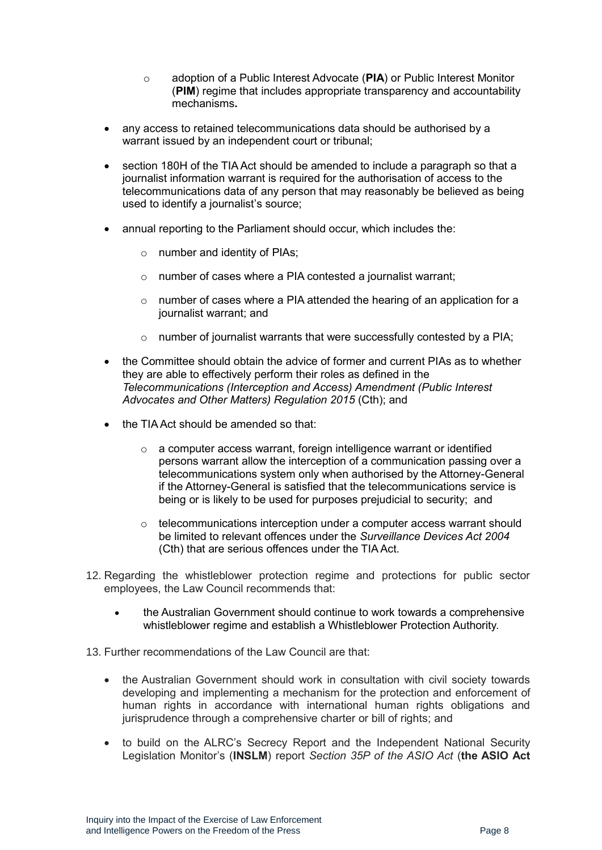- o adoption of a Public Interest Advocate (**PIA**) or Public Interest Monitor (**PIM**) regime that includes appropriate transparency and accountability mechanisms**.**
- any access to retained telecommunications data should be authorised by a warrant issued by an independent court or tribunal;
- section 180H of the TIA Act should be amended to include a paragraph so that a journalist information warrant is required for the authorisation of access to the telecommunications data of any person that may reasonably be believed as being used to identify a journalist's source;
- annual reporting to the Parliament should occur, which includes the:
	- o number and identity of PIAs;
	- o number of cases where a PIA contested a journalist warrant;
	- $\circ$  number of cases where a PIA attended the hearing of an application for a journalist warrant; and
	- o number of journalist warrants that were successfully contested by a PIA;
- the Committee should obtain the advice of former and current PIAs as to whether they are able to effectively perform their roles as defined in the *Telecommunications (Interception and Access) Amendment (Public Interest Advocates and Other Matters) Regulation 2015* (Cth); and
- the TIA Act should be amended so that:
	- o a computer access warrant, foreign intelligence warrant or identified persons warrant allow the interception of a communication passing over a telecommunications system only when authorised by the Attorney-General if the Attorney-General is satisfied that the telecommunications service is being or is likely to be used for purposes prejudicial to security; and
	- $\circ$  telecommunications interception under a computer access warrant should be limited to relevant offences under the *Surveillance Devices Act 2004* (Cth) that are serious offences under the TIA Act.
- 12. Regarding the whistleblower protection regime and protections for public sector employees, the Law Council recommends that:
	- the Australian Government should continue to work towards a comprehensive whistleblower regime and establish a Whistleblower Protection Authority.
- 13. Further recommendations of the Law Council are that:
	- the Australian Government should work in consultation with civil society towards developing and implementing a mechanism for the protection and enforcement of human rights in accordance with international human rights obligations and jurisprudence through a comprehensive charter or bill of rights; and
	- to build on the ALRC's Secrecy Report and the Independent National Security Legislation Monitor's (**INSLM**) report *Section 35P of the ASIO Act* (**the ASIO Act**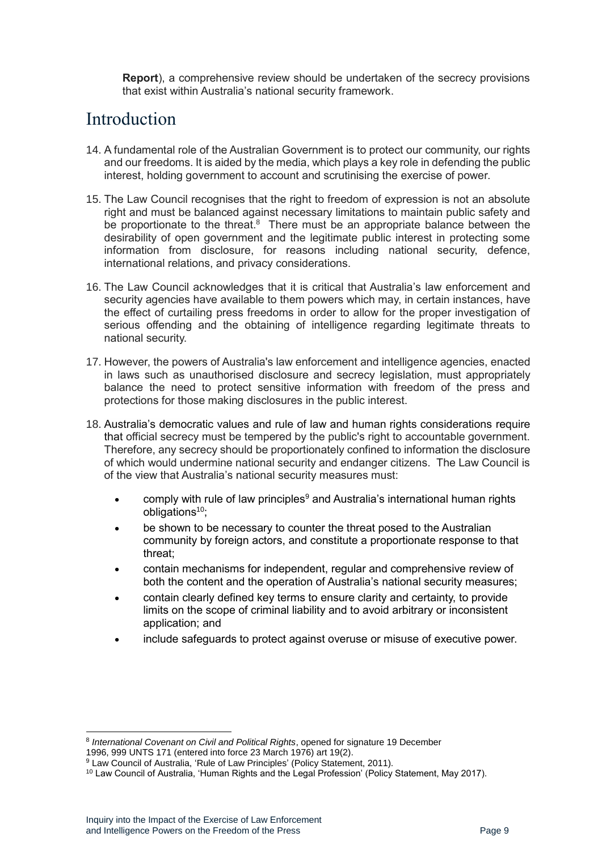**Report**), a comprehensive review should be undertaken of the secrecy provisions that exist within Australia's national security framework.

## <span id="page-8-0"></span>Introduction

- 14. A fundamental role of the Australian Government is to protect our community, our rights and our freedoms. It is aided by the media, which plays a key role in defending the public interest, holding government to account and scrutinising the exercise of power.
- 15. The Law Council recognises that the right to freedom of expression is not an absolute right and must be balanced against necessary limitations to maintain public safety and be proportionate to the threat.<sup>8</sup> There must be an appropriate balance between the desirability of open government and the legitimate public interest in protecting some information from disclosure, for reasons including national security, defence, international relations, and privacy considerations.
- 16. The Law Council acknowledges that it is critical that Australia's law enforcement and security agencies have available to them powers which may, in certain instances, have the effect of curtailing press freedoms in order to allow for the proper investigation of serious offending and the obtaining of intelligence regarding legitimate threats to national security.
- 17. However, the powers of Australia's law enforcement and intelligence agencies, enacted in laws such as unauthorised disclosure and secrecy legislation, must appropriately balance the need to protect sensitive information with freedom of the press and protections for those making disclosures in the public interest.
- 18. Australia's democratic values and rule of law and human rights considerations require that official secrecy must be tempered by the public's right to accountable government. Therefore, any secrecy should be proportionately confined to information the disclosure of which would undermine national security and endanger citizens. The Law Council is of the view that Australia's national security measures must:
	- comply with rule of law principles<sup>9</sup> and Australia's international human rights obligations $10$ :
	- be shown to be necessary to counter the threat posed to the Australian community by foreign actors, and constitute a proportionate response to that threat;
	- contain mechanisms for independent, regular and comprehensive review of both the content and the operation of Australia's national security measures;
	- contain clearly defined key terms to ensure clarity and certainty, to provide limits on the scope of criminal liability and to avoid arbitrary or inconsistent application; and
	- include safeguards to protect against overuse or misuse of executive power.

<sup>8</sup> *International Covenant on Civil and Political Rights*, opened for signature 19 December

<sup>1996, 999</sup> UNTS 171 (entered into force 23 March 1976) art 19(2).

<sup>&</sup>lt;sup>9</sup> Law Council of Australia, 'Rule of Law Principles' (Policy Statement, 2011).

<sup>10</sup> Law Council of Australia, 'Human Rights and the Legal Profession' (Policy Statement, May 2017).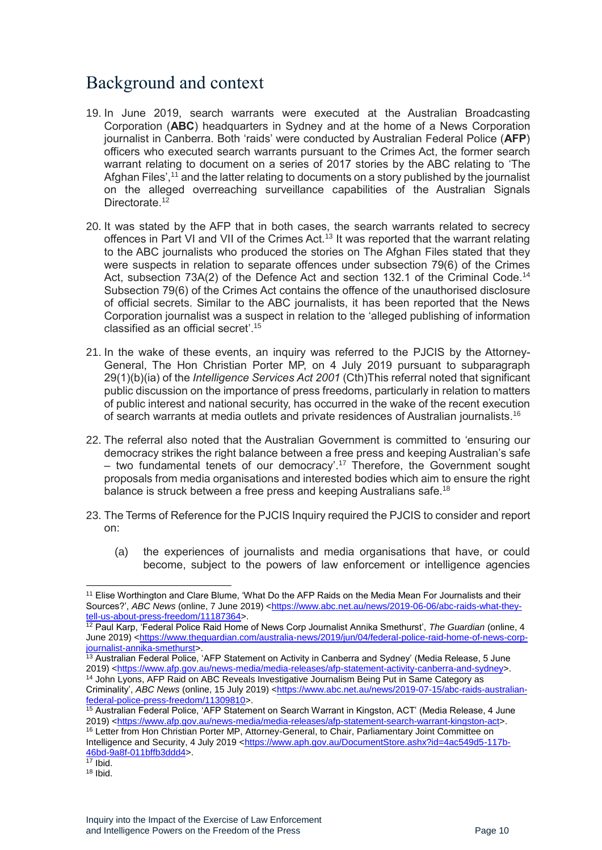# <span id="page-9-0"></span>Background and context

- 19. In June 2019, search warrants were executed at the Australian Broadcasting Corporation (**ABC**) headquarters in Sydney and at the home of a News Corporation journalist in Canberra. Both 'raids' were conducted by Australian Federal Police (**AFP**) officers who executed search warrants pursuant to the Crimes Act, the former search warrant relating to document on a series of 2017 stories by the ABC relating to 'The Afghan Files',<sup>11</sup> and the latter relating to documents on a story published by the journalist on the alleged overreaching surveillance capabilities of the Australian Signals Directorate.<sup>12</sup>
- 20. It was stated by the AFP that in both cases, the search warrants related to secrecy offences in Part VI and VII of the Crimes Act.<sup>13</sup> It was reported that the warrant relating to the ABC journalists who produced the stories on The Afghan Files stated that they were suspects in relation to separate offences under subsection 79(6) of the Crimes Act, subsection 73A(2) of the Defence Act and section 132.1 of the Criminal Code.<sup>14</sup> Subsection 79(6) of the Crimes Act contains the offence of the unauthorised disclosure of official secrets. Similar to the ABC journalists, it has been reported that the News Corporation journalist was a suspect in relation to the 'alleged publishing of information classified as an official secret'.<sup>15</sup>
- 21. In the wake of these events, an inquiry was referred to the PJCIS by the Attorney-General, The Hon Christian Porter MP, on 4 July 2019 pursuant to subparagraph 29(1)(b)(ia) of the *Intelligence Services Act 2001* (Cth)This referral noted that significant public discussion on the importance of press freedoms, particularly in relation to matters of public interest and national security, has occurred in the wake of the recent execution of search warrants at media outlets and private residences of Australian journalists.<sup>16</sup>
- 22. The referral also noted that the Australian Government is committed to 'ensuring our democracy strikes the right balance between a free press and keeping Australian's safe – two fundamental tenets of our democracy'.<sup>17</sup> Therefore, the Government sought proposals from media organisations and interested bodies which aim to ensure the right balance is struck between a free press and keeping Australians safe.<sup>18</sup>
- 23. The Terms of Reference for the PJCIS Inquiry required the PJCIS to consider and report on:
	- (a) the experiences of journalists and media organisations that have, or could become, subject to the powers of law enforcement or intelligence agencies

<sup>&</sup>lt;sup>11</sup> Elise Worthington and Clare Blume, 'What Do the AFP Raids on the Media Mean For Journalists and their Sources?', *ABC News* (online, 7 June 2019) [<https://www.abc.net.au/news/2019-06-06/abc-raids-what-they](https://www.abc.net.au/news/2019-06-06/abc-raids-what-they-tell-us-about-press-freedom/11187364)[tell-us-about-press-freedom/11187364>](https://www.abc.net.au/news/2019-06-06/abc-raids-what-they-tell-us-about-press-freedom/11187364).

<sup>12</sup> Paul Karp, 'Federal Police Raid Home of News Corp Journalist Annika Smethurst', *The Guardian* (online, 4 June 2019) [<https://www.theguardian.com/australia-news/2019/jun/04/federal-police-raid-home-of-news-corp](https://www.theguardian.com/australia-news/2019/jun/04/federal-police-raid-home-of-news-corp-journalist-annika-smethurst)[journalist-annika-smethurst>](https://www.theguardian.com/australia-news/2019/jun/04/federal-police-raid-home-of-news-corp-journalist-annika-smethurst).

<sup>&</sup>lt;sup>13</sup> Australian Federal Police, 'AFP Statement on Activity in Canberra and Sydney' (Media Release, 5 June 2019) [<https://www.afp.gov.au/news-media/media-releases/afp-statement-activity-canberra-and-sydney>](https://www.afp.gov.au/news-media/media-releases/afp-statement-activity-canberra-and-sydney).

<sup>14</sup> John Lyons, AFP Raid on ABC Reveals Investigative Journalism Being Put in Same Category as Criminality', *ABC News* (online, 15 July 2019) [<https://www.abc.net.au/news/2019-07-15/abc-raids-australian](https://www.abc.net.au/news/2019-07-15/abc-raids-australian-federal-police-press-freedom/11309810)[federal-police-press-freedom/11309810>](https://www.abc.net.au/news/2019-07-15/abc-raids-australian-federal-police-press-freedom/11309810).

<sup>15</sup> Australian Federal Police, 'AFP Statement on Search Warrant in Kingston, ACT' (Media Release, 4 June 2019) [<https://www.afp.gov.au/news-media/media-releases/afp-statement-search-warrant-kingston-act>](https://www.afp.gov.au/news-media/media-releases/afp-statement-search-warrant-kingston-act).

<sup>16</sup> Letter from Hon Christian Porter MP, Attorney-General, to Chair, Parliamentary Joint Committee on Intelligence and Security, 4 July 2019 [<https://www.aph.gov.au/DocumentStore.ashx?id=4ac549d5-117b-](https://www.aph.gov.au/DocumentStore.ashx?id=4ac549d5-117b-46bd-9a8f-011bffb3ddd4)[46bd-9a8f-011bffb3ddd4>](https://www.aph.gov.au/DocumentStore.ashx?id=4ac549d5-117b-46bd-9a8f-011bffb3ddd4).

 $17$  Ibid.

 $18$  Ibid.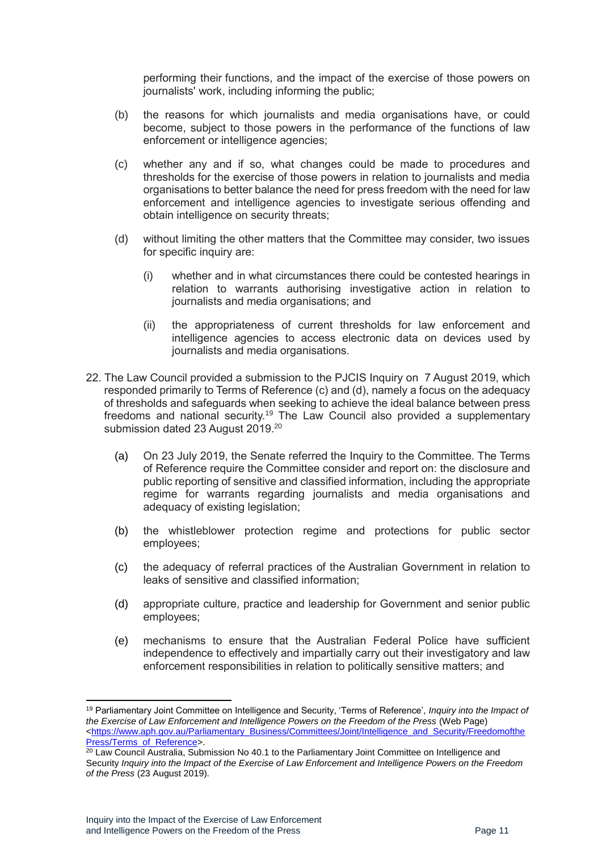performing their functions, and the impact of the exercise of those powers on journalists' work, including informing the public;

- (b) the reasons for which journalists and media organisations have, or could become, subject to those powers in the performance of the functions of law enforcement or intelligence agencies;
- (c) whether any and if so, what changes could be made to procedures and thresholds for the exercise of those powers in relation to journalists and media organisations to better balance the need for press freedom with the need for law enforcement and intelligence agencies to investigate serious offending and obtain intelligence on security threats;
- (d) without limiting the other matters that the Committee may consider, two issues for specific inquiry are:
	- (i) whether and in what circumstances there could be contested hearings in relation to warrants authorising investigative action in relation to journalists and media organisations; and
	- (ii) the appropriateness of current thresholds for law enforcement and intelligence agencies to access electronic data on devices used by journalists and media organisations.
- 22. The Law Council provided a submission to the PJCIS Inquiry on 7 August 2019, which responded primarily to Terms of Reference (c) and (d), namely a focus on the adequacy of thresholds and safeguards when seeking to achieve the ideal balance between press freedoms and national security.<sup>19</sup> The Law Council also provided a supplementary submission dated 23 August 2019.<sup>20</sup>
	- (a) On 23 July 2019, the Senate referred the Inquiry to the Committee. The Terms of Reference require the Committee consider and report on: the disclosure and public reporting of sensitive and classified information, including the appropriate regime for warrants regarding journalists and media organisations and adequacy of existing legislation;
	- (b) the whistleblower protection regime and protections for public sector employees;
	- (c) the adequacy of referral practices of the Australian Government in relation to leaks of sensitive and classified information;
	- (d) appropriate culture, practice and leadership for Government and senior public employees;
	- (e) mechanisms to ensure that the Australian Federal Police have sufficient independence to effectively and impartially carry out their investigatory and law enforcement responsibilities in relation to politically sensitive matters; and

<sup>19</sup> Parliamentary Joint Committee on Intelligence and Security, 'Terms of Reference', *Inquiry into the Impact of the Exercise of Law Enforcement and Intelligence Powers on the Freedom of the Press* (Web Page) [<https://www.aph.gov.au/Parliamentary\\_Business/Committees/Joint/Intelligence\\_and\\_Security/Freedomofthe](https://www.aph.gov.au/Parliamentary_Business/Committees/Joint/Intelligence_and_Security/FreedomofthePress/Terms_of_Reference) [Press/Terms\\_of\\_Reference>](https://www.aph.gov.au/Parliamentary_Business/Committees/Joint/Intelligence_and_Security/FreedomofthePress/Terms_of_Reference).

<sup>&</sup>lt;sup>20</sup> Law Council Australia, Submission No 40.1 to the Parliamentary Joint Committee on Intelligence and Security *Inquiry into the Impact of the Exercise of Law Enforcement and Intelligence Powers on the Freedom of the Press* (23 August 2019).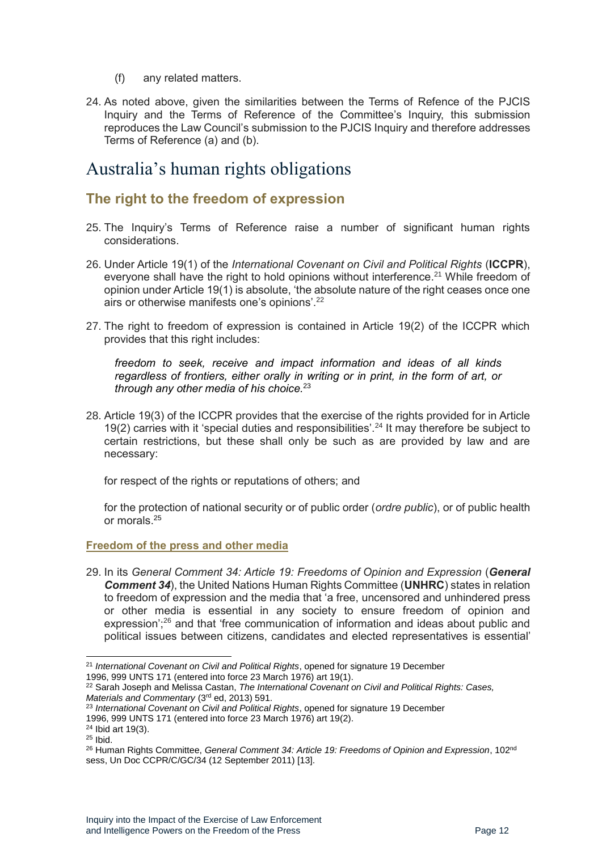- (f) any related matters.
- 24. As noted above, given the similarities between the Terms of Refence of the PJCIS Inquiry and the Terms of Reference of the Committee's Inquiry, this submission reproduces the Law Council's submission to the PJCIS Inquiry and therefore addresses Terms of Reference (a) and (b).

### <span id="page-11-0"></span>Australia's human rights obligations

### <span id="page-11-1"></span>**The right to the freedom of expression**

- 25. The Inquiry's Terms of Reference raise a number of significant human rights considerations.
- 26. Under Article 19(1) of the *International Covenant on Civil and Political Rights* (**ICCPR**), everyone shall have the right to hold opinions without interference.<sup>21</sup> While freedom of opinion under Article 19(1) is absolute, 'the absolute nature of the right ceases once one airs or otherwise manifests one's opinions'.<sup>22</sup>
- 27. The right to freedom of expression is contained in Article 19(2) of the ICCPR which provides that this right includes:

*freedom to seek, receive and impact information and ideas of all kinds regardless of frontiers, either orally in writing or in print, in the form of art, or through any other media of his choice.*<sup>23</sup>

28. Article 19(3) of the ICCPR provides that the exercise of the rights provided for in Article 19(2) carries with it 'special duties and responsibilities'. <sup>24</sup> It may therefore be subject to certain restrictions, but these shall only be such as are provided by law and are necessary:

for respect of the rights or reputations of others; and

for the protection of national security or of public order (*ordre public*), or of public health or morals.<sup>25</sup>

#### <span id="page-11-2"></span>**Freedom of the press and other media**

29. In its *General Comment 34: Article 19: Freedoms of Opinion and Expression* (*General Comment 34*), the United Nations Human Rights Committee (**UNHRC**) states in relation to freedom of expression and the media that 'a free, uncensored and unhindered press or other media is essential in any society to ensure freedom of opinion and expression';<sup>26</sup> and that 'free communication of information and ideas about public and political issues between citizens, candidates and elected representatives is essential'

<sup>21</sup> *International Covenant on Civil and Political Rights*, opened for signature 19 December 1996, 999 UNTS 171 (entered into force 23 March 1976) art 19(1).

<sup>22</sup> Sarah Joseph and Melissa Castan, *The International Covenant on Civil and Political Rights: Cases, Materials and Commentary* (3rd ed, 2013) 591.

<sup>23</sup> *International Covenant on Civil and Political Rights*, opened for signature 19 December

<sup>1996, 999</sup> UNTS 171 (entered into force 23 March 1976) art 19(2).

<sup>24</sup> Ibid art 19(3).

<sup>25</sup> Ibid.

<sup>26</sup> Human Rights Committee, *General Comment 34: Article 19: Freedoms of Opinion and Expression*, 102nd sess, Un Doc CCPR/C/GC/34 (12 September 2011) [13].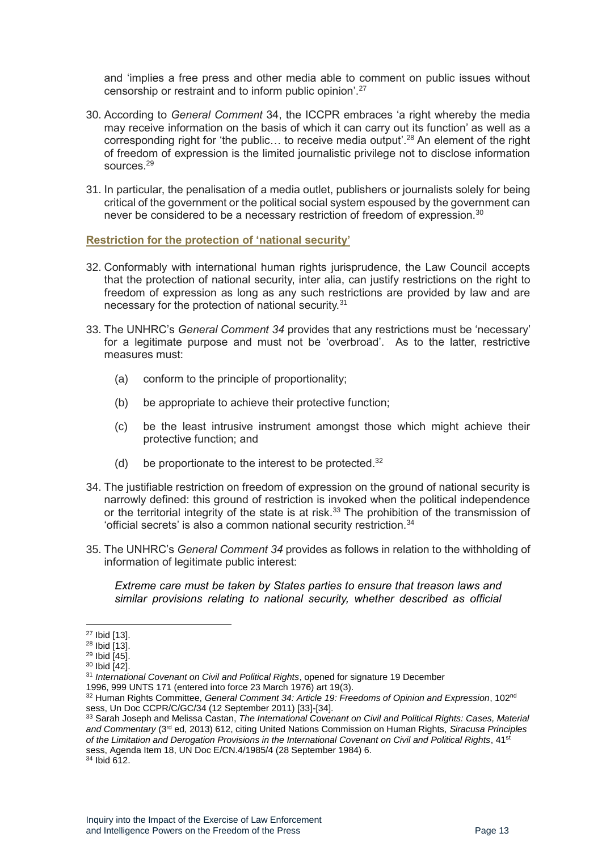and 'implies a free press and other media able to comment on public issues without censorship or restraint and to inform public opinion'.<sup>27</sup>

- 30. According to *General Comment* 34, the ICCPR embraces 'a right whereby the media may receive information on the basis of which it can carry out its function' as well as a corresponding right for 'the public… to receive media output'.<sup>28</sup> An element of the right of freedom of expression is the limited journalistic privilege not to disclose information sources<sup>29</sup>
- 31. In particular, the penalisation of a media outlet, publishers or journalists solely for being critical of the government or the political social system espoused by the government can never be considered to be a necessary restriction of freedom of expression.<sup>30</sup>

<span id="page-12-0"></span>**Restriction for the protection of 'national security'** 

- 32. Conformably with international human rights jurisprudence, the Law Council accepts that the protection of national security, inter alia, can justify restrictions on the right to freedom of expression as long as any such restrictions are provided by law and are necessary for the protection of national security.<sup>31</sup>
- 33. The UNHRC's *General Comment 34* provides that any restrictions must be 'necessary' for a legitimate purpose and must not be 'overbroad'. As to the latter, restrictive measures must:
	- (a) conform to the principle of proportionality;
	- (b) be appropriate to achieve their protective function;
	- (c) be the least intrusive instrument amongst those which might achieve their protective function; and
	- (d) be proportionate to the interest to be protected. $32$
- 34. The justifiable restriction on freedom of expression on the ground of national security is narrowly defined: this ground of restriction is invoked when the political independence or the territorial integrity of the state is at risk.<sup>33</sup> The prohibition of the transmission of 'official secrets' is also a common national security restriction.<sup>34</sup>
- 35. The UNHRC's *General Comment 34* provides as follows in relation to the withholding of information of legitimate public interest:

*Extreme care must be taken by States parties to ensure that treason laws and similar provisions relating to national security, whether described as official* 

<sup>27</sup> Ibid [13].

<sup>28</sup> Ibid [13].

<sup>29</sup> Ibid [45].

<sup>30</sup> Ibid [42].

<sup>31</sup> *International Covenant on Civil and Political Rights*, opened for signature 19 December

<sup>1996, 999</sup> UNTS 171 (entered into force 23 March 1976) art 19(3).

<sup>32</sup> Human Rights Committee, *General Comment 34: Article 19: Freedoms of Opinion and Expression*, 102nd sess, Un Doc CCPR/C/GC/34 (12 September 2011) [33]-[34].

<sup>33</sup> Sarah Joseph and Melissa Castan, *The International Covenant on Civil and Political Rights: Cases, Material and Commentary* (3rd ed, 2013) 612, citing United Nations Commission on Human Rights, *Siracusa Principles of the Limitation and Derogation Provisions in the International Covenant on Civil and Political Rights*, 41st sess, Agenda Item 18, UN Doc E/CN.4/1985/4 (28 September 1984) 6. <sup>34</sup> Ibid 612.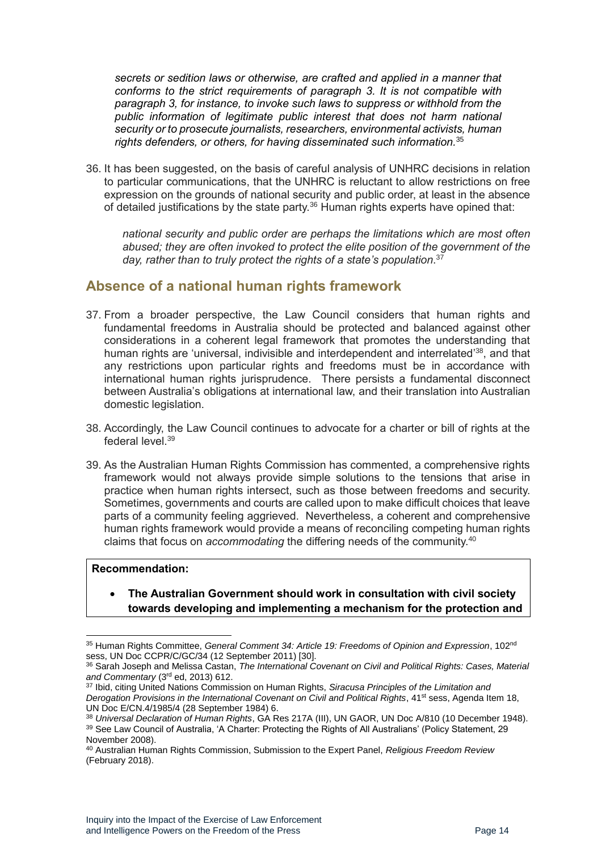*secrets or sedition laws or otherwise, are crafted and applied in a manner that conforms to the strict requirements of paragraph 3. It is not compatible with paragraph 3, for instance, to invoke such laws to suppress or withhold from the public information of legitimate public interest that does not harm national security or to prosecute journalists, researchers, environmental activists, human rights defenders, or others, for having disseminated such information.*<sup>35</sup>

36. It has been suggested, on the basis of careful analysis of UNHRC decisions in relation to particular communications, that the UNHRC is reluctant to allow restrictions on free expression on the grounds of national security and public order, at least in the absence of detailed justifications by the state party. $36$  Human rights experts have opined that:

*national security and public order are perhaps the limitations which are most often abused; they are often invoked to protect the elite position of the government of the day, rather than to truly protect the rights of a state's population*. 37

### <span id="page-13-0"></span>**Absence of a national human rights framework**

- 37. From a broader perspective, the Law Council considers that human rights and fundamental freedoms in Australia should be protected and balanced against other considerations in a coherent legal framework that promotes the understanding that human rights are 'universal, indivisible and interdependent and interrelated'<sup>38</sup>, and that any restrictions upon particular rights and freedoms must be in accordance with international human rights jurisprudence. There persists a fundamental disconnect between Australia's obligations at international law, and their translation into Australian domestic legislation.
- 38. Accordingly, the Law Council continues to advocate for a charter or bill of rights at the federal level.<sup>39</sup>
- 39. As the Australian Human Rights Commission has commented, a comprehensive rights framework would not always provide simple solutions to the tensions that arise in practice when human rights intersect, such as those between freedoms and security. Sometimes, governments and courts are called upon to make difficult choices that leave parts of a community feeling aggrieved. Nevertheless, a coherent and comprehensive human rights framework would provide a means of reconciling competing human rights claims that focus on *accommodating* the differing needs of the community.<sup>40</sup>

#### **Recommendation:**

• **The Australian Government should work in consultation with civil society towards developing and implementing a mechanism for the protection and** 

<sup>35</sup> Human Rights Committee, *General Comment 34: Article 19: Freedoms of Opinion and Expression*, 102nd sess, UN Doc CCPR/C/GC/34 (12 September 2011) [30].

<sup>36</sup> Sarah Joseph and Melissa Castan, *The International Covenant on Civil and Political Rights: Cases, Material and Commentary* (3rd ed, 2013) 612.

<sup>37</sup> Ibid, citing United Nations Commission on Human Rights, *Siracusa Principles of the Limitation and Derogation Provisions in the International Covenant on Civil and Political Rights*, 41st sess, Agenda Item 18, UN Doc E/CN.4/1985/4 (28 September 1984) 6.

<sup>38</sup> *Universal Declaration of Human Rights*, GA Res 217A (III), UN GAOR, UN Doc A/810 (10 December 1948). <sup>39</sup> See Law Council of Australia, 'A Charter: Protecting the Rights of All Australians' (Policy Statement, 29 November 2008).

<sup>40</sup> Australian Human Rights Commission, Submission to the Expert Panel, *Religious Freedom Review*  (February 2018).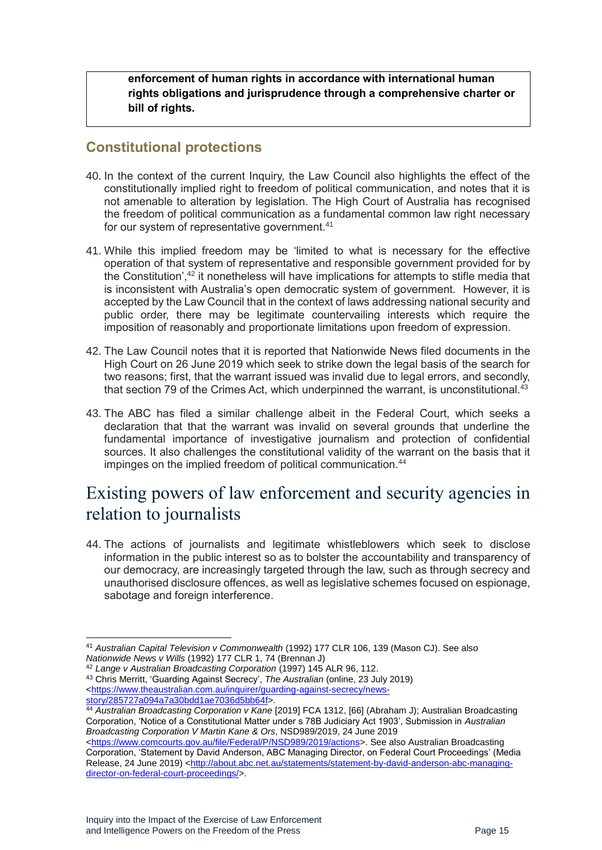**enforcement of human rights in accordance with international human rights obligations and jurisprudence through a comprehensive charter or bill of rights.**

### <span id="page-14-0"></span>**Constitutional protections**

- 40. In the context of the current Inquiry, the Law Council also highlights the effect of the constitutionally implied right to freedom of political communication, and notes that it is not amenable to alteration by legislation. The High Court of Australia has recognised the freedom of political communication as a fundamental common law right necessary for our system of representative government.<sup>41</sup>
- 41. While this implied freedom may be 'limited to what is necessary for the effective operation of that system of representative and responsible government provided for by the Constitution',<sup>42</sup> it nonetheless will have implications for attempts to stifle media that is inconsistent with Australia's open democratic system of government. However, it is accepted by the Law Council that in the context of laws addressing national security and public order, there may be legitimate countervailing interests which require the imposition of reasonably and proportionate limitations upon freedom of expression.
- 42. The Law Council notes that it is reported that Nationwide News filed documents in the High Court on 26 June 2019 which seek to strike down the legal basis of the search for two reasons; first, that the warrant issued was invalid due to legal errors, and secondly, that section 79 of the Crimes Act, which underpinned the warrant, is unconstitutional.<sup>43</sup>
- 43. The ABC has filed a similar challenge albeit in the Federal Court, which seeks a declaration that that the warrant was invalid on several grounds that underline the fundamental importance of investigative journalism and protection of confidential sources. It also challenges the constitutional validity of the warrant on the basis that it impinges on the implied freedom of political communication.<sup>44</sup>

# <span id="page-14-1"></span>Existing powers of law enforcement and security agencies in relation to journalists

44. The actions of journalists and legitimate whistleblowers which seek to disclose information in the public interest so as to bolster the accountability and transparency of our democracy, are increasingly targeted through the law, such as through secrecy and unauthorised disclosure offences, as well as legislative schemes focused on espionage, sabotage and foreign interference.

<sup>42</sup> *Lange v Australian Broadcasting Corporation* (1997) 145 ALR 96, 112.

<sup>41</sup> *Australian Capital Television v Commonwealth* (1992) 177 CLR 106, 139 (Mason CJ). See also *Nationwide News v Wills* (1992) 177 CLR 1, 74 (Brennan J)

<sup>43</sup> Chris Merritt, 'Guarding Against Secrecy', *The Australian* (online, 23 July 2019) [<https://www.theaustralian.com.au/inquirer/guarding-against-secrecy/news](https://www.theaustralian.com.au/inquirer/guarding-against-secrecy/news-story/285727a094a7a30bdd1ae7036d5bb64f)[story/285727a094a7a30bdd1ae7036d5bb64f>](https://www.theaustralian.com.au/inquirer/guarding-against-secrecy/news-story/285727a094a7a30bdd1ae7036d5bb64f).

<sup>44</sup> *Australian Broadcasting Corporation v Kane* [2019] FCA 1312, [66] (Abraham J); Australian Broadcasting Corporation, 'Notice of a Constitutional Matter under s 78B Judiciary Act 1903', Submission in *Australian Broadcasting Corporation V Martin Kane & Ors*, NSD989/2019, 24 June 2019

[<sup>&</sup>lt;https://www.comcourts.gov.au/file/Federal/P/NSD989/2019/actions>](https://www.comcourts.gov.au/file/Federal/P/NSD989/2019/actions). See also Australian Broadcasting Corporation, 'Statement by David Anderson, ABC Managing Director, on Federal Court Proceedings' (Media Release, 24 June 2019) [<http://about.abc.net.au/statements/statement-by-david-anderson-abc-managing](http://about.abc.net.au/statements/statement-by-david-anderson-abc-managing-director-on-federal-court-proceedings/)[director-on-federal-court-proceedings/>](http://about.abc.net.au/statements/statement-by-david-anderson-abc-managing-director-on-federal-court-proceedings/).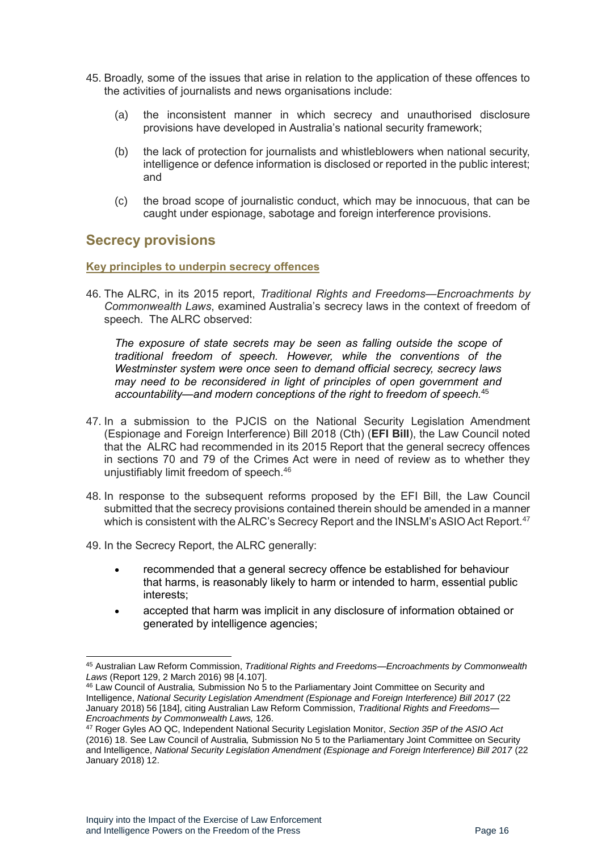- 45. Broadly, some of the issues that arise in relation to the application of these offences to the activities of journalists and news organisations include:
	- (a) the inconsistent manner in which secrecy and unauthorised disclosure provisions have developed in Australia's national security framework;
	- (b) the lack of protection for journalists and whistleblowers when national security, intelligence or defence information is disclosed or reported in the public interest; and
	- (c) the broad scope of journalistic conduct, which may be innocuous, that can be caught under espionage, sabotage and foreign interference provisions.

### <span id="page-15-0"></span>**Secrecy provisions**

<span id="page-15-1"></span>**Key principles to underpin secrecy offences** 

46. The ALRC, in its 2015 report, *Traditional Rights and Freedoms—Encroachments by Commonwealth Laws*, examined Australia's secrecy laws in the context of freedom of speech. The ALRC observed:

*The exposure of state secrets may be seen as falling outside the scope of traditional freedom of speech. However, while the conventions of the Westminster system were once seen to demand official secrecy, secrecy laws may need to be reconsidered in light of principles of open government and accountability—and modern conceptions of the right to freedom of speech.*<sup>45</sup>

- 47. In a submission to the PJCIS on the National Security Legislation Amendment (Espionage and Foreign Interference) Bill 2018 (Cth) (**EFI Bill**), the Law Council noted that the ALRC had recommended in its 2015 Report that the general secrecy offences in sections 70 and 79 of the Crimes Act were in need of review as to whether they unjustifiably limit freedom of speech.<sup>46</sup>
- 48. In response to the subsequent reforms proposed by the EFI Bill, the Law Council submitted that the secrecy provisions contained therein should be amended in a manner which is consistent with the ALRC's Secrecy Report and the INSLM's ASIO Act Report.<sup>47</sup>
- 49. In the Secrecy Report, the ALRC generally:
	- recommended that a general secrecy offence be established for behaviour that harms, is reasonably likely to harm or intended to harm, essential public interests;
	- accepted that harm was implicit in any disclosure of information obtained or generated by intelligence agencies;

<sup>45</sup> Australian Law Reform Commission, *Traditional Rights and Freedoms—Encroachments by Commonwealth Laws* (Report 129, 2 March 2016) 98 [4.107].

<sup>46</sup> Law Council of Australia*,* Submission No 5 to the Parliamentary Joint Committee on Security and Intelligence, *National Security Legislation Amendment (Espionage and Foreign Interference) Bill 2017* (22 January 2018) 56 [184], citing Australian Law Reform Commission, *Traditional Rights and Freedoms— Encroachments by Commonwealth Laws,* 126.

<sup>47</sup> Roger Gyles AO QC, Independent National Security Legislation Monitor, *Section 35P of the ASIO Act* (2016) 18. See Law Council of Australia*,* Submission No 5 to the Parliamentary Joint Committee on Security and Intelligence, *National Security Legislation Amendment (Espionage and Foreign Interference) Bill 2017* (22 January 2018) 12.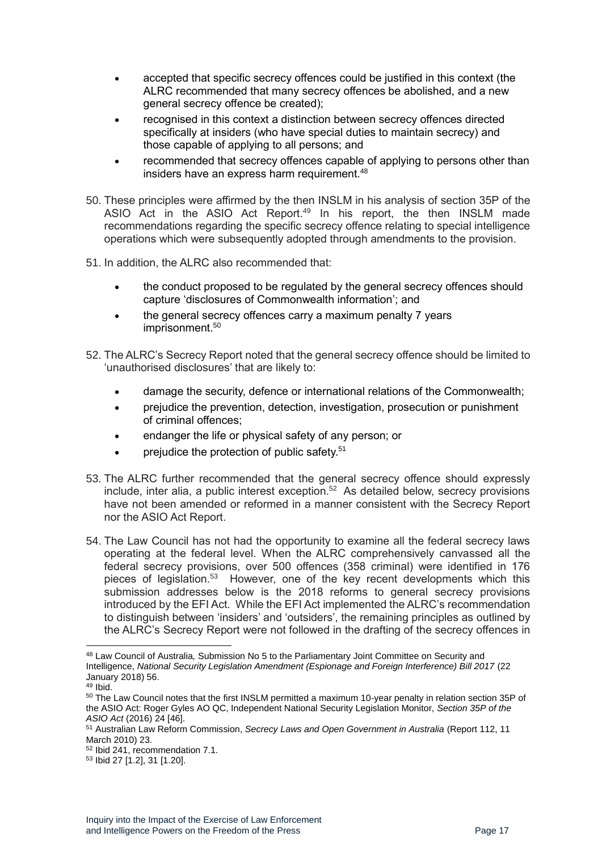- accepted that specific secrecy offences could be justified in this context (the ALRC recommended that many secrecy offences be abolished, and a new general secrecy offence be created);
- recognised in this context a distinction between secrecy offences directed specifically at insiders (who have special duties to maintain secrecy) and those capable of applying to all persons; and
- recommended that secrecy offences capable of applying to persons other than insiders have an express harm requirement.<sup>48</sup>
- 50. These principles were affirmed by the then INSLM in his analysis of section 35P of the ASIO Act in the ASIO Act Report.<sup>49</sup> In his report, the then INSLM made recommendations regarding the specific secrecy offence relating to special intelligence operations which were subsequently adopted through amendments to the provision.
- 51. In addition, the ALRC also recommended that:
	- the conduct proposed to be regulated by the general secrecy offences should capture 'disclosures of Commonwealth information'; and
	- the general secrecy offences carry a maximum penalty 7 years imprisonment.<sup>50</sup>
- 52. The ALRC's Secrecy Report noted that the general secrecy offence should be limited to 'unauthorised disclosures' that are likely to:
	- damage the security, defence or international relations of the Commonwealth;
	- prejudice the prevention, detection, investigation, prosecution or punishment of criminal offences;
	- endanger the life or physical safety of any person; or
	- prejudice the protection of public safety.<sup>51</sup>
- 53. The ALRC further recommended that the general secrecy offence should expressly include, inter alia, a public interest exception. 52 As detailed below, secrecy provisions have not been amended or reformed in a manner consistent with the Secrecy Report nor the ASIO Act Report.
- 54. The Law Council has not had the opportunity to examine all the federal secrecy laws operating at the federal level. When the ALRC comprehensively canvassed all the federal secrecy provisions, over 500 offences (358 criminal) were identified in 176 pieces of legislation.<sup>53</sup> However, one of the key recent developments which this submission addresses below is the 2018 reforms to general secrecy provisions introduced by the EFI Act. While the EFI Act implemented the ALRC's recommendation to distinguish between 'insiders' and 'outsiders', the remaining principles as outlined by the ALRC's Secrecy Report were not followed in the drafting of the secrecy offences in

<sup>48</sup> Law Council of Australia*,* Submission No 5 to the Parliamentary Joint Committee on Security and Intelligence, *National Security Legislation Amendment (Espionage and Foreign Interference) Bill 2017* (22 January 2018) 56.

 $49$  Ibid.

<sup>50</sup> The Law Council notes that the first INSLM permitted a maximum 10-year penalty in relation section 35P of the ASIO Act: Roger Gyles AO QC, Independent National Security Legislation Monitor, *Section 35P of the ASIO Act* (2016) 24 [46].

<sup>51</sup> Australian Law Reform Commission, *Secrecy Laws and Open Government in Australia* (Report 112, 11 March 2010) 23.

<sup>52</sup> Ibid 241, recommendation 7.1.

<sup>53</sup> Ibid 27 [1.2], 31 [1.20].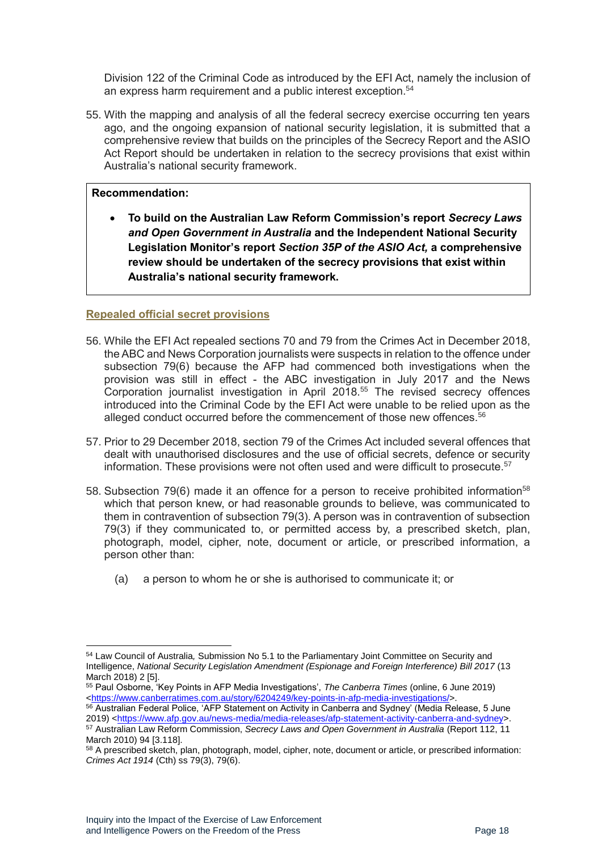Division 122 of the Criminal Code as introduced by the EFI Act, namely the inclusion of an express harm requirement and a public interest exception.<sup>54</sup>

55. With the mapping and analysis of all the federal secrecy exercise occurring ten years ago, and the ongoing expansion of national security legislation, it is submitted that a comprehensive review that builds on the principles of the Secrecy Report and the ASIO Act Report should be undertaken in relation to the secrecy provisions that exist within Australia's national security framework.

#### **Recommendation:**

• **To build on the Australian Law Reform Commission's report** *Secrecy Laws and Open Government in Australia* **and the Independent National Security Legislation Monitor's report** *Section 35P of the ASIO Act,* **a comprehensive review should be undertaken of the secrecy provisions that exist within Australia's national security framework.**

#### <span id="page-17-0"></span>**Repealed official secret provisions**

- 56. While the EFI Act repealed sections 70 and 79 from the Crimes Act in December 2018, the ABC and News Corporation journalists were suspects in relation to the offence under subsection 79(6) because the AFP had commenced both investigations when the provision was still in effect - the ABC investigation in July 2017 and the News Corporation journalist investigation in April 2018.<sup>55</sup> The revised secrecy offences introduced into the Criminal Code by the EFI Act were unable to be relied upon as the alleged conduct occurred before the commencement of those new offences.<sup>56</sup>
- 57. Prior to 29 December 2018, section 79 of the Crimes Act included several offences that dealt with unauthorised disclosures and the use of official secrets, defence or security information. These provisions were not often used and were difficult to prosecute.<sup>57</sup>
- 58. Subsection 79(6) made it an offence for a person to receive prohibited information<sup>58</sup> which that person knew, or had reasonable grounds to believe, was communicated to them in contravention of subsection 79(3). A person was in contravention of subsection 79(3) if they communicated to, or permitted access by, a prescribed sketch, plan, photograph, model, cipher, note, document or article, or prescribed information, a person other than:
	- (a) a person to whom he or she is authorised to communicate it; or

<sup>54</sup> Law Council of Australia*,* Submission No 5.1 to the Parliamentary Joint Committee on Security and Intelligence, *National Security Legislation Amendment (Espionage and Foreign Interference) Bill 2017* (13 March 2018) 2 [5].

<sup>55</sup> Paul Osborne, 'Key Points in AFP Media Investigations', *The Canberra Times* (online, 6 June 2019) [<https://www.canberratimes.com.au/story/6204249/key-points-in-afp-media-investigations/>](https://www.canberratimes.com.au/story/6204249/key-points-in-afp-media-investigations/).

<sup>56</sup> Australian Federal Police, 'AFP Statement on Activity in Canberra and Sydney' (Media Release, 5 June 2019) [<https://www.afp.gov.au/news-media/media-releases/afp-statement-activity-canberra-and-sydney>](https://www.afp.gov.au/news-media/media-releases/afp-statement-activity-canberra-and-sydney). <sup>57</sup> Australian Law Reform Commission, *Secrecy Laws and Open Government in Australia* (Report 112, 11

March 2010) 94 [3.118].

<sup>58</sup> A prescribed sketch, plan, photograph, model, cipher, note, document or article, or prescribed information: *Crimes Act 1914* (Cth) ss 79(3), 79(6).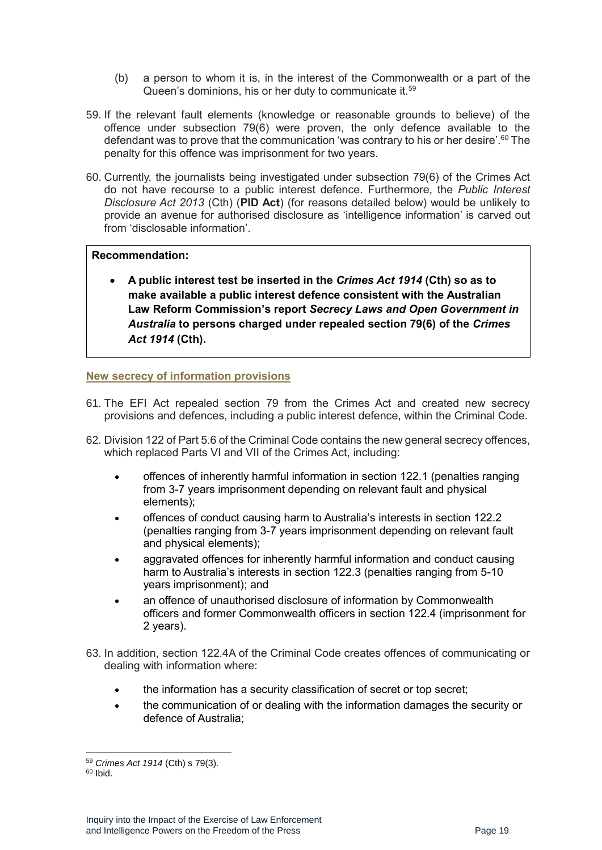- (b) a person to whom it is, in the interest of the Commonwealth or a part of the Queen's dominions, his or her duty to communicate it.<sup>59</sup>
- 59. If the relevant fault elements (knowledge or reasonable grounds to believe) of the offence under subsection 79(6) were proven, the only defence available to the defendant was to prove that the communication 'was contrary to his or her desire'.<sup>60</sup> The penalty for this offence was imprisonment for two years.
- 60. Currently, the journalists being investigated under subsection 79(6) of the Crimes Act do not have recourse to a public interest defence. Furthermore, the *Public Interest Disclosure Act 2013* (Cth) (**PID Act**) (for reasons detailed below) would be unlikely to provide an avenue for authorised disclosure as 'intelligence information' is carved out from 'disclosable information'.

#### **Recommendation:**

• **A public interest test be inserted in the** *Crimes Act 1914* **(Cth) so as to make available a public interest defence consistent with the Australian Law Reform Commission's report** *Secrecy Laws and Open Government in Australia* **to persons charged under repealed section 79(6) of the** *Crimes Act 1914* **(Cth).** 

#### <span id="page-18-0"></span>**New secrecy of information provisions**

- 61. The EFI Act repealed section 79 from the Crimes Act and created new secrecy provisions and defences, including a public interest defence, within the Criminal Code.
- 62. Division 122 of Part 5.6 of the Criminal Code contains the new general secrecy offences, which replaced Parts VI and VII of the Crimes Act, including:
	- offences of inherently harmful information in section 122.1 (penalties ranging from 3-7 years imprisonment depending on relevant fault and physical elements);
	- offences of conduct causing harm to Australia's interests in section 122.2 (penalties ranging from 3-7 years imprisonment depending on relevant fault and physical elements);
	- aggravated offences for inherently harmful information and conduct causing harm to Australia's interests in section 122.3 (penalties ranging from 5-10 years imprisonment); and
	- an offence of unauthorised disclosure of information by Commonwealth officers and former Commonwealth officers in section 122.4 (imprisonment for 2 years).
- 63. In addition, section 122.4A of the Criminal Code creates offences of communicating or dealing with information where:
	- the information has a security classification of secret or top secret;
	- the communication of or dealing with the information damages the security or defence of Australia;

<sup>59</sup> *Crimes Act 1914* (Cth) s 79(3).

 $60$  Ibid.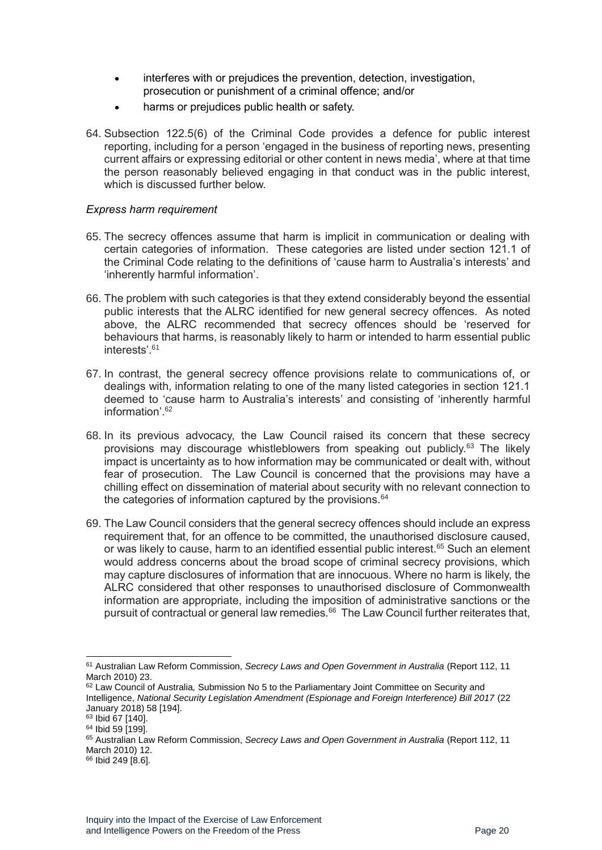- interferes with or prejudices the prevention, detection, investigation, prosecution or punishment of a criminal offence; and/or
- harms or prejudices public health or safety.
- 64. Subsection 122.5(6) of the Criminal Code provides a defence for public interest reporting, including for a person 'engaged in the business of reporting news, presenting current affairs or expressing editorial or other content in news media', where at that time the person reasonably believed engaging in that conduct was in the public interest, which is discussed further below

#### <span id="page-19-0"></span>*Express harm requirement*

- 65. The secrecy offences assume that harm is implicit in communication or dealing with certain categories of information. These categories are listed under section 121.1 of the Criminal Code relating to the definitions of 'cause harm to Australia's interests' and 'inherently harmful information'.
- 66. The problem with such categories is that they extend considerably beyond the essential public interests that the ALRC identified for new general secrecy offences. As noted above, the ALRC recommended that secrecy offences should be 'reserved for behaviours that harms, is reasonably likely to harm or intended to harm essential public interests<sup>'61</sup>
- 67. In contrast, the general secrecy offence provisions relate to communications of, or dealings with, information relating to one of the many listed categories in section 121.1 deemed to 'cause harm to Australia's interests' and consisting of 'inherently harmful information<sup>'62</sup>
- 68. In its previous advocacy, the Law Council raised its concern that these secrecy provisions may discourage whistleblowers from speaking out publicly.<sup>63</sup> The likely impact is uncertainty as to how information may be communicated or dealt with, without fear of prosecution. The Law Council is concerned that the provisions may have a chilling effect on dissemination of material about security with no relevant connection to the categories of information captured by the provisions. $64$
- 69. The Law Council considers that the general secrecy offences should include an express requirement that, for an offence to be committed, the unauthorised disclosure caused, or was likely to cause, harm to an identified essential public interest.<sup>65</sup> Such an element would address concerns about the broad scope of criminal secrecy provisions, which may capture disclosures of information that are innocuous. Where no harm is likely, the ALRC considered that other responses to unauthorised disclosure of Commonwealth information are appropriate, including the imposition of administrative sanctions or the pursuit of contractual or general law remedies.<sup>66</sup> The Law Council further reiterates that,

<sup>61</sup> Australian Law Reform Commission, *Secrecy Laws and Open Government in Australia* (Report 112, 11 March 2010) 23.

<sup>62</sup> Law Council of Australia*,* Submission No 5 to the Parliamentary Joint Committee on Security and Intelligence, *National Security Legislation Amendment (Espionage and Foreign Interference) Bill 2017* (22 January 2018) 58 [194].

<sup>63</sup> Ibid 67 [140].

<sup>64</sup> Ibid 59 [199].

<sup>65</sup> Australian Law Reform Commission, *Secrecy Laws and Open Government in Australia* (Report 112, 11 March 2010) 12.

<sup>&</sup>lt;sup>66</sup> Ibid 249 [8.6].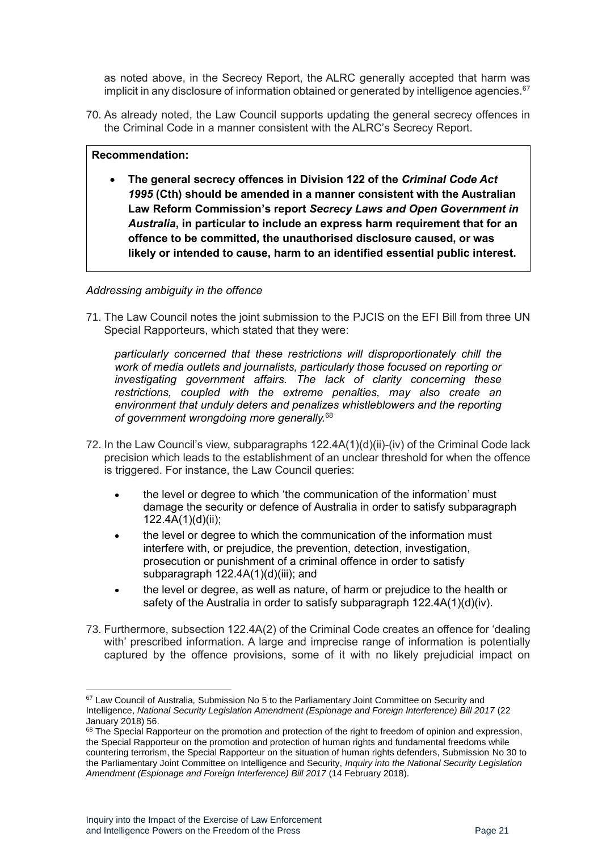as noted above, in the Secrecy Report, the ALRC generally accepted that harm was implicit in any disclosure of information obtained or generated by intelligence agencies. $67$ 

70. As already noted, the Law Council supports updating the general secrecy offences in the Criminal Code in a manner consistent with the ALRC's Secrecy Report.

#### **Recommendation:**

• **The general secrecy offences in Division 122 of the** *Criminal Code Act 1995* **(Cth) should be amended in a manner consistent with the Australian Law Reform Commission's report** *Secrecy Laws and Open Government in Australia***, in particular to include an express harm requirement that for an offence to be committed, the unauthorised disclosure caused, or was likely or intended to cause, harm to an identified essential public interest.**

#### <span id="page-20-0"></span>*Addressing ambiguity in the offence*

71. The Law Council notes the joint submission to the PJCIS on the EFI Bill from three UN Special Rapporteurs, which stated that they were:

*particularly concerned that these restrictions will disproportionately chill the work of media outlets and journalists, particularly those focused on reporting or investigating government affairs. The lack of clarity concerning these restrictions, coupled with the extreme penalties, may also create an environment that unduly deters and penalizes whistleblowers and the reporting of government wrongdoing more generally.*<sup>68</sup>

- 72. In the Law Council's view, subparagraphs 122.4A(1)(d)(ii)-(iv) of the Criminal Code lack precision which leads to the establishment of an unclear threshold for when the offence is triggered. For instance, the Law Council queries:
	- the level or degree to which 'the communication of the information' must damage the security or defence of Australia in order to satisfy subparagraph 122.4A(1)(d)(ii);
	- the level or degree to which the communication of the information must interfere with, or prejudice, the prevention, detection, investigation, prosecution or punishment of a criminal offence in order to satisfy subparagraph  $122.4A(1)(d)(iii)$ ; and
	- the level or degree, as well as nature, of harm or prejudice to the health or safety of the Australia in order to satisfy subparagraph 122.4A(1)(d)(iv).
- 73. Furthermore, subsection 122.4A(2) of the Criminal Code creates an offence for 'dealing with' prescribed information. A large and imprecise range of information is potentially captured by the offence provisions, some of it with no likely prejudicial impact on

<sup>67</sup> Law Council of Australia*,* Submission No 5 to the Parliamentary Joint Committee on Security and Intelligence, *National Security Legislation Amendment (Espionage and Foreign Interference) Bill 2017* (22 January 2018) 56.

<sup>&</sup>lt;sup>68</sup> The Special Rapporteur on the promotion and protection of the right to freedom of opinion and expression, the Special Rapporteur on the promotion and protection of human rights and fundamental freedoms while countering terrorism, the Special Rapporteur on the situation of human rights defenders, Submission No 30 to the Parliamentary Joint Committee on Intelligence and Security, *Inquiry into the National Security Legislation Amendment (Espionage and Foreign Interference) Bill 2017* (14 February 2018).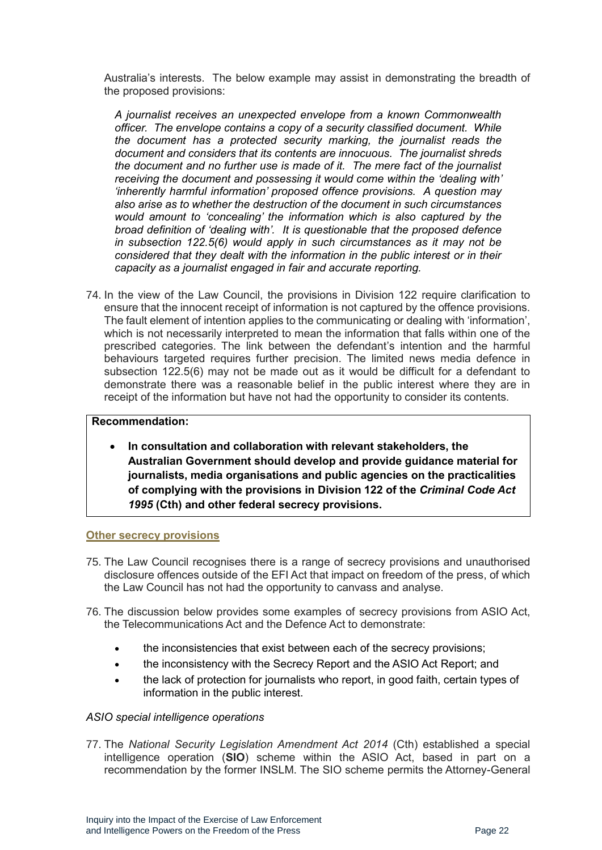Australia's interests. The below example may assist in demonstrating the breadth of the proposed provisions:

*A journalist receives an unexpected envelope from a known Commonwealth officer. The envelope contains a copy of a security classified document. While the document has a protected security marking, the journalist reads the document and considers that its contents are innocuous. The journalist shreds the document and no further use is made of it. The mere fact of the journalist receiving the document and possessing it would come within the 'dealing with' 'inherently harmful information' proposed offence provisions. A question may also arise as to whether the destruction of the document in such circumstances would amount to 'concealing' the information which is also captured by the broad definition of 'dealing with'. It is questionable that the proposed defence in subsection 122.5(6) would apply in such circumstances as it may not be considered that they dealt with the information in the public interest or in their capacity as a journalist engaged in fair and accurate reporting.*

74. In the view of the Law Council, the provisions in Division 122 require clarification to ensure that the innocent receipt of information is not captured by the offence provisions. The fault element of intention applies to the communicating or dealing with 'information', which is not necessarily interpreted to mean the information that falls within one of the prescribed categories. The link between the defendant's intention and the harmful behaviours targeted requires further precision. The limited news media defence in subsection 122.5(6) may not be made out as it would be difficult for a defendant to demonstrate there was a reasonable belief in the public interest where they are in receipt of the information but have not had the opportunity to consider its contents.

#### **Recommendation:**

• **In consultation and collaboration with relevant stakeholders, the Australian Government should develop and provide guidance material for journalists, media organisations and public agencies on the practicalities of complying with the provisions in Division 122 of the** *Criminal Code Act 1995* **(Cth) and other federal secrecy provisions.**

#### <span id="page-21-0"></span>**Other secrecy provisions**

- 75. The Law Council recognises there is a range of secrecy provisions and unauthorised disclosure offences outside of the EFI Act that impact on freedom of the press, of which the Law Council has not had the opportunity to canvass and analyse.
- 76. The discussion below provides some examples of secrecy provisions from ASIO Act, the Telecommunications Act and the Defence Act to demonstrate:
	- the inconsistencies that exist between each of the secrecy provisions;
	- the inconsistency with the Secrecy Report and the ASIO Act Report; and
	- the lack of protection for journalists who report, in good faith, certain types of information in the public interest.

#### <span id="page-21-1"></span>*ASIO special intelligence operations*

77. The *National Security Legislation Amendment Act 2014* (Cth) established a special intelligence operation (**SIO**) scheme within the ASIO Act, based in part on a recommendation by the former INSLM. The SIO scheme permits the Attorney-General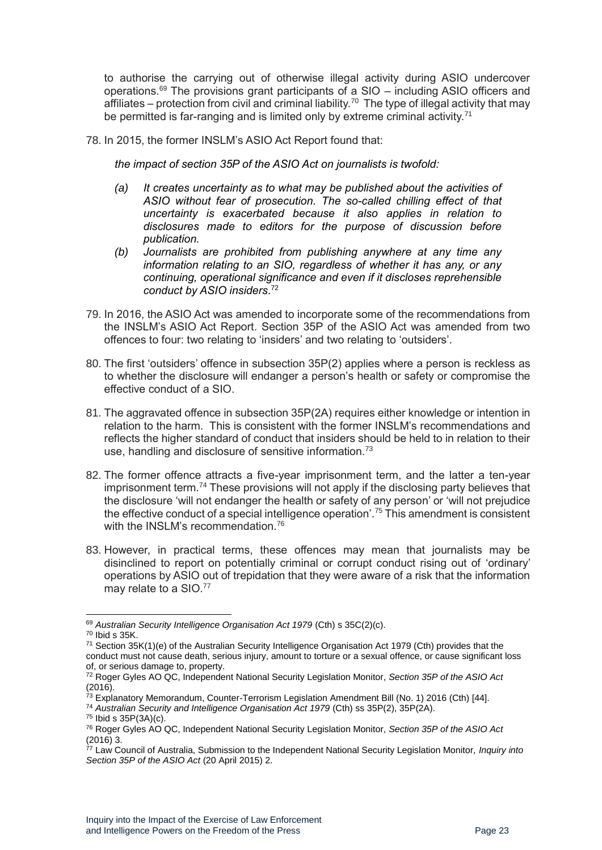to authorise the carrying out of otherwise illegal activity during ASIO undercover operations.<sup>69</sup> The provisions grant participants of a  $SIO -$  including ASIO officers and affiliates – protection from civil and criminal liability.<sup>70</sup> The type of illegal activity that may be permitted is far-ranging and is limited only by extreme criminal activity.<sup>71</sup>

78. In 2015, the former INSLM's ASIO Act Report found that:

*the impact of section 35P of the ASIO Act on journalists is twofold:*

- *(a) It creates uncertainty as to what may be published about the activities of ASIO without fear of prosecution. The so-called chilling effect of that uncertainty is exacerbated because it also applies in relation to disclosures made to editors for the purpose of discussion before publication.*
- *(b) Journalists are prohibited from publishing anywhere at any time any information relating to an SIO, regardless of whether it has any, or any continuing, operational significance and even if it discloses reprehensible conduct by ASIO insiders*. 72
- 79. In 2016, the ASIO Act was amended to incorporate some of the recommendations from the INSLM's ASIO Act Report. Section 35P of the ASIO Act was amended from two offences to four: two relating to 'insiders' and two relating to 'outsiders'.
- 80. The first 'outsiders' offence in subsection 35P(2) applies where a person is reckless as to whether the disclosure will endanger a person's health or safety or compromise the effective conduct of a SIO.
- 81. The aggravated offence in subsection 35P(2A) requires either knowledge or intention in relation to the harm. This is consistent with the former INSLM's recommendations and reflects the higher standard of conduct that insiders should be held to in relation to their use, handling and disclosure of sensitive information.<sup>73</sup>
- 82. The former offence attracts a five-year imprisonment term, and the latter a ten-year imprisonment term.<sup>74</sup> These provisions will not apply if the disclosing party believes that the disclosure 'will not endanger the health or safety of any person' or 'will not prejudice the effective conduct of a special intelligence operation'.<sup>75</sup> This amendment is consistent with the INSLM's recommendation.<sup>76</sup>
- 83. However, in practical terms, these offences may mean that journalists may be disinclined to report on potentially criminal or corrupt conduct rising out of 'ordinary' operations by ASIO out of trepidation that they were aware of a risk that the information may relate to a SIO.<sup>77</sup>

<sup>74</sup> *Australian Security and Intelligence Organisation Act 1979* (Cth) ss 35P(2), 35P(2A).

<sup>75</sup> Ibid s 35P(3A)(c).

<sup>69</sup> *Australian Security Intelligence Organisation Act 1979* (Cth) s 35C(2)(c).

<sup>70</sup> Ibid s 35K.

<sup>71</sup> Section 35K(1)(e) of the Australian Security Intelligence Organisation Act 1979 (Cth) provides that the conduct must not cause death, serious injury, amount to torture or a sexual offence, or cause significant loss of, or serious damage to, property.

<sup>72</sup> Roger Gyles AO QC, Independent National Security Legislation Monitor, *Section 35P of the ASIO Act* (2016).

<sup>&</sup>lt;sup>73</sup> Explanatory Memorandum, Counter-Terrorism Legislation Amendment Bill (No. 1) 2016 (Cth) [44].

<sup>76</sup> Roger Gyles AO QC, Independent National Security Legislation Monitor, *Section 35P of the ASIO Act* (2016) 3.

<sup>77</sup> Law Council of Australia, Submission to the Independent National Security Legislation Monitor, *Inquiry into Section 35P of the ASIO Act* (20 April 2015) 2.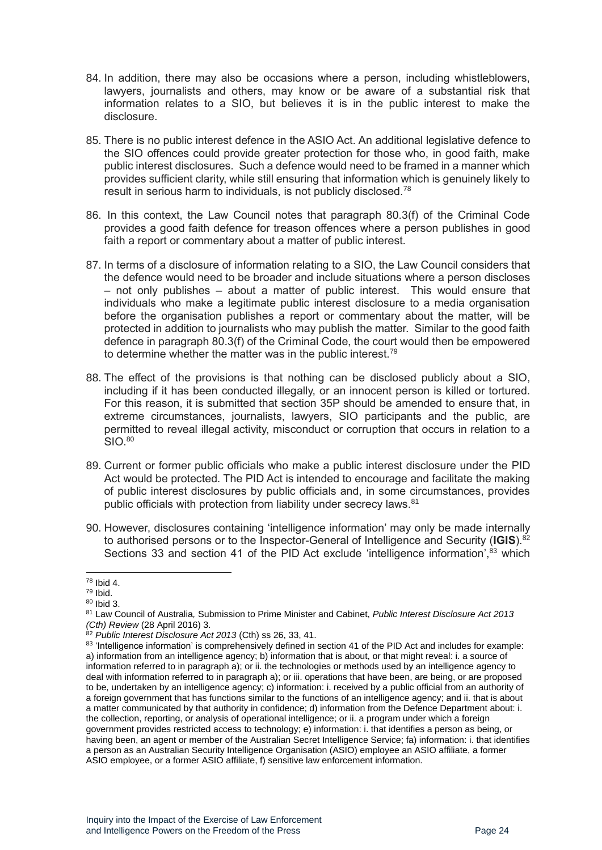- 84. In addition, there may also be occasions where a person, including whistleblowers, lawyers, journalists and others, may know or be aware of a substantial risk that information relates to a SIO, but believes it is in the public interest to make the disclosure.
- 85. There is no public interest defence in the ASIO Act. An additional legislative defence to the SIO offences could provide greater protection for those who, in good faith, make public interest disclosures. Such a defence would need to be framed in a manner which provides sufficient clarity, while still ensuring that information which is genuinely likely to result in serious harm to individuals, is not publicly disclosed.<sup>78</sup>
- 86. In this context, the Law Council notes that paragraph 80.3(f) of the Criminal Code provides a good faith defence for treason offences where a person publishes in good faith a report or commentary about a matter of public interest.
- 87. In terms of a disclosure of information relating to a SIO, the Law Council considers that the defence would need to be broader and include situations where a person discloses – not only publishes – about a matter of public interest. This would ensure that individuals who make a legitimate public interest disclosure to a media organisation before the organisation publishes a report or commentary about the matter, will be protected in addition to journalists who may publish the matter. Similar to the good faith defence in paragraph 80.3(f) of the Criminal Code, the court would then be empowered to determine whether the matter was in the public interest.<sup>79</sup>
- 88. The effect of the provisions is that nothing can be disclosed publicly about a SIO, including if it has been conducted illegally, or an innocent person is killed or tortured. For this reason, it is submitted that section 35P should be amended to ensure that, in extreme circumstances, journalists, lawyers, SIO participants and the public, are permitted to reveal illegal activity, misconduct or corruption that occurs in relation to a  $SIO<sup>80</sup>$
- 89. Current or former public officials who make a public interest disclosure under the PID Act would be protected. The PID Act is intended to encourage and facilitate the making of public interest disclosures by public officials and, in some circumstances, provides public officials with protection from liability under secrecy laws.<sup>81</sup>
- 90. However, disclosures containing 'intelligence information' may only be made internally to authorised persons or to the Inspector-General of Intelligence and Security (**IGIS**). 82 Sections 33 and section 41 of the PID Act exclude 'intelligence information',<sup>83</sup> which

<sup>78</sup> Ibid 4.

 $79$  Ibid.

<sup>80</sup> Ibid 3.

<sup>81</sup> Law Council of Australia*,* Submission to Prime Minister and Cabinet, *Public Interest Disclosure Act 2013 (Cth) Review* (28 April 2016) 3.

<sup>82</sup> *Public Interest Disclosure Act 2013* (Cth) ss 26, 33, 41.

<sup>83 &#</sup>x27;Intelligence information' is comprehensively defined in section 41 of the PID Act and includes for example: a) information from an intelligence agency; b) information that is about, or that might reveal: i. a source of information referred to in paragraph a); or ii. the technologies or methods used by an intelligence agency to deal with information referred to in paragraph a); or iii. operations that have been, are being, or are proposed to be, undertaken by an intelligence agency; c) information: i. received by a public official from an authority of a foreign government that has functions similar to the functions of an intelligence agency; and ii. that is about a matter communicated by that authority in confidence; d) information from the Defence Department about: i. the collection, reporting, or analysis of operational intelligence; or ii. a program under which a foreign government provides restricted access to technology; e) information: i. that identifies a person as being, or having been, an agent or member of the Australian Secret Intelligence Service; fa) information: i. that identifies a person as an Australian Security Intelligence Organisation (ASIO) employee an ASIO affiliate, a former ASIO employee, or a former ASIO affiliate, f) sensitive law enforcement information.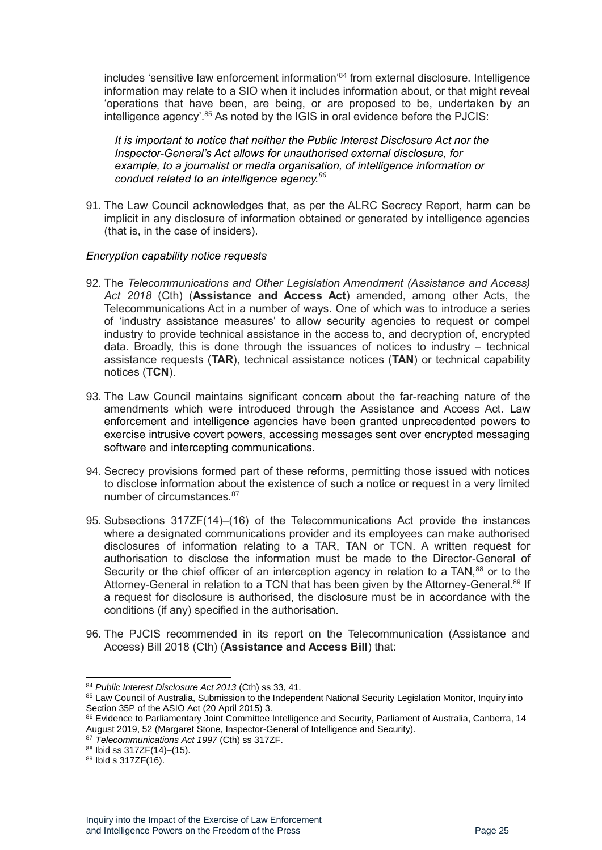includes 'sensitive law enforcement information' <sup>84</sup> from external disclosure. Intelligence information may relate to a SIO when it includes information about, or that might reveal 'operations that have been, are being, or are proposed to be, undertaken by an intelligence agency'.<sup>85</sup> As noted by the IGIS in oral evidence before the PJCIS:

*It is important to notice that neither the Public Interest Disclosure Act nor the Inspector-General's Act allows for unauthorised external disclosure, for example, to a journalist or media organisation, of intelligence information or conduct related to an intelligence agency.<sup>86</sup>*

91. The Law Council acknowledges that, as per the ALRC Secrecy Report, harm can be implicit in any disclosure of information obtained or generated by intelligence agencies (that is, in the case of insiders).

#### <span id="page-24-0"></span>*Encryption capability notice requests*

- 92. The *Telecommunications and Other Legislation Amendment (Assistance and Access) Act 2018* (Cth) (**Assistance and Access Act**) amended, among other Acts, the Telecommunications Act in a number of ways. One of which was to introduce a series of 'industry assistance measures' to allow security agencies to request or compel industry to provide technical assistance in the access to, and decryption of, encrypted data. Broadly, this is done through the issuances of notices to industry – technical assistance requests (**TAR**), technical assistance notices (**TAN**) or technical capability notices (**TCN**).
- 93. The Law Council maintains significant concern about the far-reaching nature of the amendments which were introduced through the Assistance and Access Act. Law enforcement and intelligence agencies have been granted unprecedented powers to exercise intrusive covert powers, accessing messages sent over encrypted messaging software and intercepting communications.
- 94. Secrecy provisions formed part of these reforms, permitting those issued with notices to disclose information about the existence of such a notice or request in a very limited number of circumstances  $87$
- 95. Subsections 317ZF(14)–(16) of the Telecommunications Act provide the instances where a designated communications provider and its employees can make authorised disclosures of information relating to a TAR, TAN or TCN. A written request for authorisation to disclose the information must be made to the Director-General of Security or the chief officer of an interception agency in relation to a TAN.<sup>88</sup> or to the Attorney-General in relation to a TCN that has been given by the Attorney-General.<sup>89</sup> If a request for disclosure is authorised, the disclosure must be in accordance with the conditions (if any) specified in the authorisation.
- 96. The PJCIS recommended in its report on the Telecommunication (Assistance and Access) Bill 2018 (Cth) (**Assistance and Access Bill**) that:

<sup>84</sup> *Public Interest Disclosure Act 2013* (Cth) ss 33, 41.

<sup>85</sup> Law Council of Australia, Submission to the Independent National Security Legislation Monitor, Inquiry into Section 35P of the ASIO Act (20 April 2015) 3.

<sup>86</sup> Evidence to Parliamentary Joint Committee Intelligence and Security, Parliament of Australia, Canberra, 14 August 2019, 52 (Margaret Stone, Inspector-General of Intelligence and Security).

<sup>87</sup> *Telecommunications Act 1997* (Cth) ss 317ZF.

<sup>88</sup> Ibid ss 317ZF(14)–(15).

<sup>89</sup> Ibid s 317ZF(16).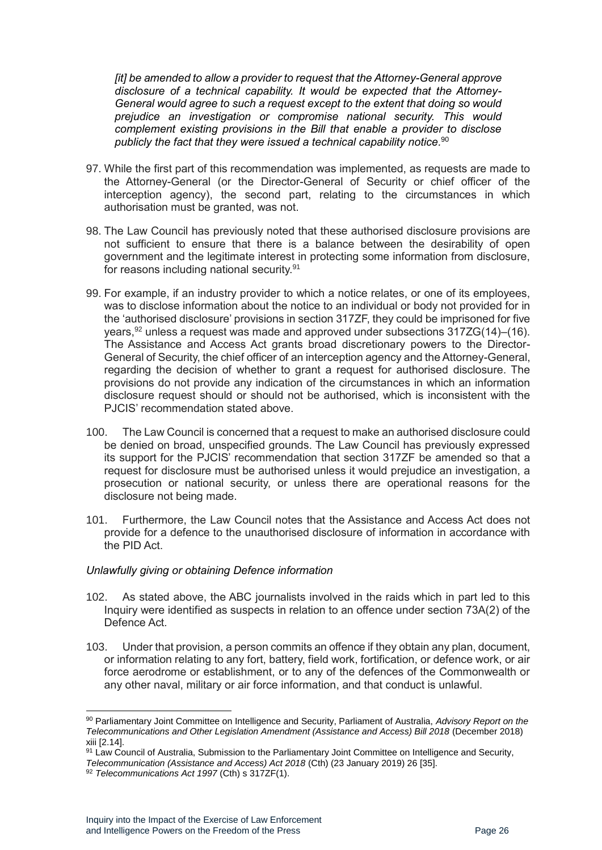*[it] be amended to allow a provider to request that the Attorney-General approve disclosure of a technical capability. It would be expected that the Attorney-General would agree to such a request except to the extent that doing so would prejudice an investigation or compromise national security. This would complement existing provisions in the Bill that enable a provider to disclose publicly the fact that they were issued a technical capability notice.* 90

- 97. While the first part of this recommendation was implemented, as requests are made to the Attorney-General (or the Director-General of Security or chief officer of the interception agency), the second part, relating to the circumstances in which authorisation must be granted, was not.
- 98. The Law Council has previously noted that these authorised disclosure provisions are not sufficient to ensure that there is a balance between the desirability of open government and the legitimate interest in protecting some information from disclosure, for reasons including national security.<sup>91</sup>
- 99. For example, if an industry provider to which a notice relates, or one of its employees, was to disclose information about the notice to an individual or body not provided for in the 'authorised disclosure' provisions in section 317ZF, they could be imprisoned for five years,  $92$  unless a request was made and approved under subsections  $317ZG(14)$ – $(16)$ . The Assistance and Access Act grants broad discretionary powers to the Director-General of Security, the chief officer of an interception agency and the Attorney-General, regarding the decision of whether to grant a request for authorised disclosure. The provisions do not provide any indication of the circumstances in which an information disclosure request should or should not be authorised, which is inconsistent with the PJCIS' recommendation stated above.
- 100. The Law Council is concerned that a request to make an authorised disclosure could be denied on broad, unspecified grounds. The Law Council has previously expressed its support for the PJCIS' recommendation that section 317ZF be amended so that a request for disclosure must be authorised unless it would prejudice an investigation, a prosecution or national security, or unless there are operational reasons for the disclosure not being made.
- 101. Furthermore, the Law Council notes that the Assistance and Access Act does not provide for a defence to the unauthorised disclosure of information in accordance with the PID Act.

#### <span id="page-25-0"></span>*Unlawfully giving or obtaining Defence information*

- 102. As stated above, the ABC journalists involved in the raids which in part led to this Inquiry were identified as suspects in relation to an offence under section 73A(2) of the Defence Act*.*
- 103. Under that provision, a person commits an offence if they obtain any plan, document, or information relating to any fort, battery, field work, fortification, or defence work, or air force aerodrome or establishment, or to any of the defences of the Commonwealth or any other naval, military or air force information, and that conduct is unlawful.

<sup>90</sup> Parliamentary Joint Committee on Intelligence and Security, Parliament of Australia, *Advisory Report on the Telecommunications and Other Legislation Amendment (Assistance and Access) Bill 2018* (December 2018) xiii [2.14].

<sup>91</sup> Law Council of Australia, Submission to the Parliamentary Joint Committee on Intelligence and Security, *Telecommunication (Assistance and Access) Act 2018* (Cth) (23 January 2019) 26 [35].

<sup>92</sup> *Telecommunications Act 1997* (Cth) s 317ZF(1).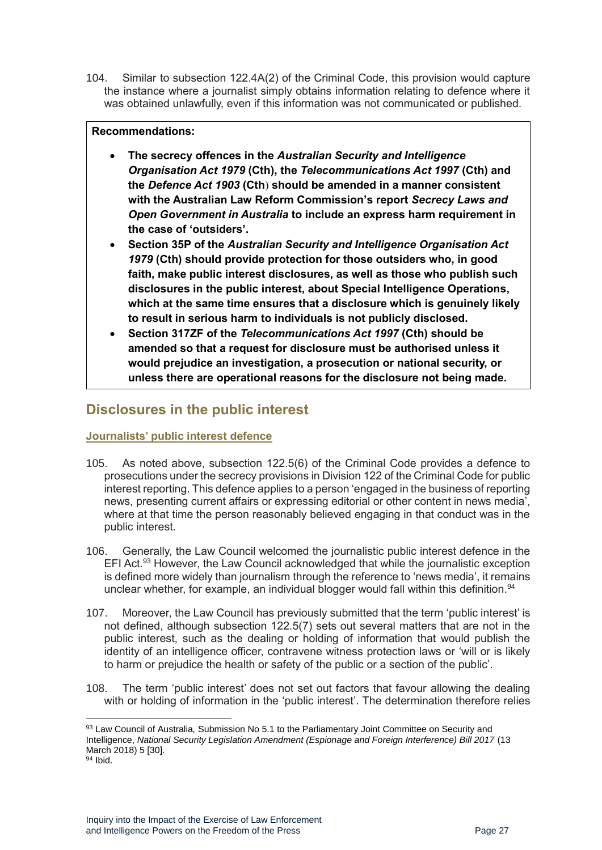104. Similar to subsection 122.4A(2) of the Criminal Code, this provision would capture the instance where a journalist simply obtains information relating to defence where it was obtained unlawfully, even if this information was not communicated or published.

#### **Recommendations:**

- **The secrecy offences in the** *Australian Security and Intelligence Organisation Act 1979* **(Cth), the** *Telecommunications Act 1997* **(Cth) and the** *Defence Act 1903* **(Cth**) **should be amended in a manner consistent with the Australian Law Reform Commission's report** *Secrecy Laws and Open Government in Australia* **to include an express harm requirement in the case of 'outsiders'.**
- **Section 35P of the** *Australian Security and Intelligence Organisation Act 1979* **(Cth) should provide protection for those outsiders who, in good faith, make public interest disclosures, as well as those who publish such disclosures in the public interest, about Special Intelligence Operations, which at the same time ensures that a disclosure which is genuinely likely to result in serious harm to individuals is not publicly disclosed.**
- **Section 317ZF of the** *Telecommunications Act 1997* **(Cth) should be amended so that a request for disclosure must be authorised unless it would prejudice an investigation, a prosecution or national security, or unless there are operational reasons for the disclosure not being made.**

### <span id="page-26-0"></span>**Disclosures in the public interest**

#### <span id="page-26-1"></span>**Journalists' public interest defence**

- 105. As noted above, subsection 122.5(6) of the Criminal Code provides a defence to prosecutions under the secrecy provisions in Division 122 of the Criminal Code for public interest reporting. This defence applies to a person 'engaged in the business of reporting news, presenting current affairs or expressing editorial or other content in news media', where at that time the person reasonably believed engaging in that conduct was in the public interest.
- 106. Generally, the Law Council welcomed the journalistic public interest defence in the EFI Act.<sup>93</sup> However, the Law Council acknowledged that while the journalistic exception is defined more widely than journalism through the reference to 'news media', it remains unclear whether, for example, an individual blogger would fall within this definition.<sup>94</sup>
- 107. Moreover, the Law Council has previously submitted that the term 'public interest' is not defined, although subsection 122.5(7) sets out several matters that are not in the public interest, such as the dealing or holding of information that would publish the identity of an intelligence officer, contravene witness protection laws or 'will or is likely to harm or prejudice the health or safety of the public or a section of the public'.
- 108. The term 'public interest' does not set out factors that favour allowing the dealing with or holding of information in the 'public interest'. The determination therefore relies

<sup>93</sup> Law Council of Australia*,* Submission No 5.1 to the Parliamentary Joint Committee on Security and Intelligence, *National Security Legislation Amendment (Espionage and Foreign Interference) Bill 2017* (13 March 2018) 5 [30].

 $94$  Ibid.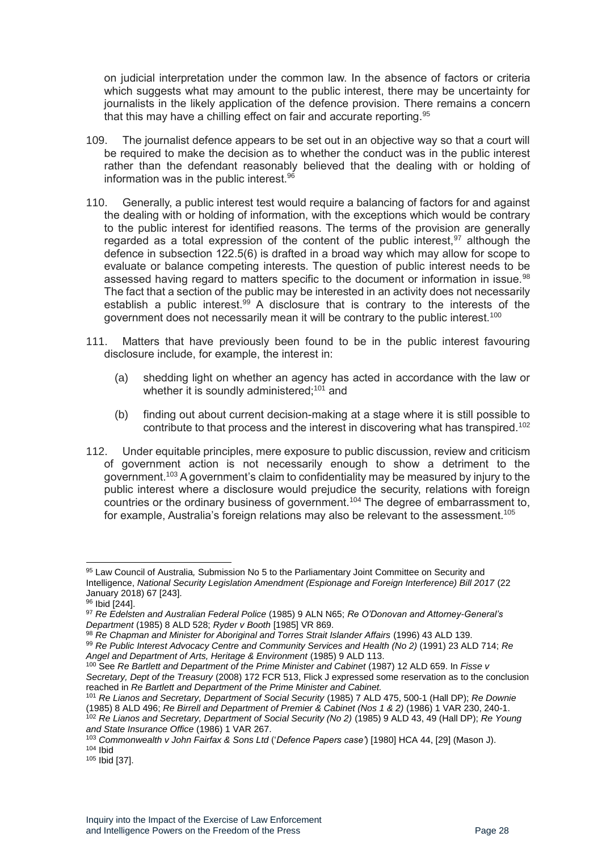on judicial interpretation under the common law. In the absence of factors or criteria which suggests what may amount to the public interest, there may be uncertainty for journalists in the likely application of the defence provision. There remains a concern that this may have a chilling effect on fair and accurate reporting.<sup>95</sup>

- 109. The journalist defence appears to be set out in an objective way so that a court will be required to make the decision as to whether the conduct was in the public interest rather than the defendant reasonably believed that the dealing with or holding of information was in the public interest.<sup>96</sup>
- 110. Generally, a public interest test would require a balancing of factors for and against the dealing with or holding of information, with the exceptions which would be contrary to the public interest for identified reasons. The terms of the provision are generally regarded as a total expression of the content of the public interest.<sup>97</sup> although the defence in subsection 122.5(6) is drafted in a broad way which may allow for scope to evaluate or balance competing interests. The question of public interest needs to be assessed having regard to matters specific to the document or information in issue.<sup>98</sup> The fact that a section of the public may be interested in an activity does not necessarily establish a public interest.<sup>99</sup> A disclosure that is contrary to the interests of the government does not necessarily mean it will be contrary to the public interest.<sup>100</sup>
- 111. Matters that have previously been found to be in the public interest favouring disclosure include, for example, the interest in:
	- (a) shedding light on whether an agency has acted in accordance with the law or whether it is soundly administered;<sup>101</sup> and
	- (b) finding out about current decision-making at a stage where it is still possible to contribute to that process and the interest in discovering what has transpired.<sup>102</sup>
- 112. Under equitable principles, mere exposure to public discussion, review and criticism of government action is not necessarily enough to show a detriment to the government.<sup>103</sup> A government's claim to confidentiality may be measured by injury to the public interest where a disclosure would prejudice the security, relations with foreign countries or the ordinary business of government.<sup>104</sup> The degree of embarrassment to, for example. Australia's foreign relations may also be relevant to the assessment.<sup>105</sup>

<sup>95</sup> Law Council of Australia*,* Submission No 5 to the Parliamentary Joint Committee on Security and Intelligence, *National Security Legislation Amendment (Espionage and Foreign Interference) Bill 2017* (22 January 2018) 67 [243].

<sup>96</sup> Ibid [244].

<sup>97</sup> *Re Edelsten and Australian Federal Police* (1985) 9 ALN N65; *Re O'Donovan and Attorney-General's Department* (1985) 8 ALD 528; *Ryder v Booth* [1985] VR 869.

<sup>98</sup> Re Chapman and Minister for Aboriginal and Torres Strait Islander Affairs (1996) 43 ALD 139.

<sup>99</sup> *Re Public Interest Advocacy Centre and Community Services and Health (No 2)* (1991) 23 ALD 714; *Re Angel and Department of Arts, Heritage & Environment* (1985) 9 ALD 113.

<sup>100</sup> See *Re Bartlett and Department of the Prime Minister and Cabinet* (1987) 12 ALD 659. In *Fisse v Secretary, Dept of the Treasury* (2008) 172 FCR 513, Flick J expressed some reservation as to the conclusion reached in *Re Bartlett and Department of the Prime Minister and Cabinet.*

<sup>101</sup> *Re Lianos and Secretary, Department of Social Security* (1985) 7 ALD 475, 500-1 (Hall DP); *Re Downie*  (1985) 8 ALD 496; *Re Birrell and Department of Premier & Cabinet (Nos 1 & 2)* (1986) 1 VAR 230, 240-1. <sup>102</sup> *Re Lianos and Secretary, Department of Social Security (No 2)* (1985) 9 ALD 43, 49 (Hall DP); *Re Young and State Insurance Office* (1986) 1 VAR 267.

<sup>103</sup> *Commonwealth v John Fairfax & Sons Ltd* ('*Defence Papers case'*) [1980] HCA 44, [29] (Mason J).  $104$  Ibid

<sup>105</sup> Ibid [37].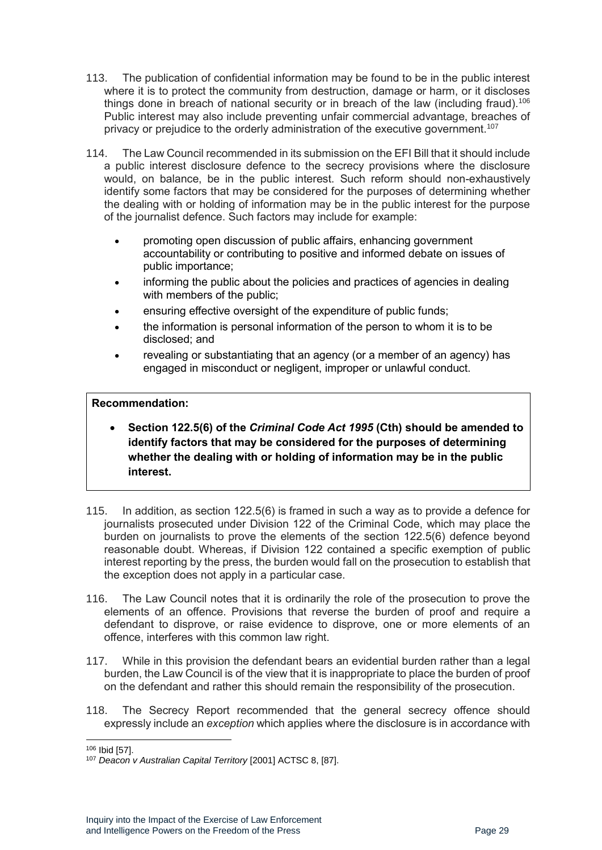- 113. The publication of confidential information may be found to be in the public interest where it is to protect the community from destruction, damage or harm, or it discloses things done in breach of national security or in breach of the law (including fraud).<sup>106</sup> Public interest may also include preventing unfair commercial advantage, breaches of privacy or prejudice to the orderly administration of the executive government.<sup>107</sup>
- 114. The Law Council recommended in its submission on the EFI Bill that it should include a public interest disclosure defence to the secrecy provisions where the disclosure would, on balance, be in the public interest. Such reform should non-exhaustively identify some factors that may be considered for the purposes of determining whether the dealing with or holding of information may be in the public interest for the purpose of the journalist defence. Such factors may include for example:
	- promoting open discussion of public affairs, enhancing government accountability or contributing to positive and informed debate on issues of public importance;
	- informing the public about the policies and practices of agencies in dealing with members of the public;
	- ensuring effective oversight of the expenditure of public funds;
	- the information is personal information of the person to whom it is to be disclosed; and
	- revealing or substantiating that an agency (or a member of an agency) has engaged in misconduct or negligent, improper or unlawful conduct.

#### **Recommendation:**

- **Section 122.5(6) of the** *Criminal Code Act 1995* **(Cth) should be amended to identify factors that may be considered for the purposes of determining whether the dealing with or holding of information may be in the public interest.**
- 115. In addition, as section 122.5(6) is framed in such a way as to provide a defence for journalists prosecuted under Division 122 of the Criminal Code, which may place the burden on journalists to prove the elements of the section 122.5(6) defence beyond reasonable doubt. Whereas, if Division 122 contained a specific exemption of public interest reporting by the press, the burden would fall on the prosecution to establish that the exception does not apply in a particular case.
- 116. The Law Council notes that it is ordinarily the role of the prosecution to prove the elements of an offence. Provisions that reverse the burden of proof and require a defendant to disprove, or raise evidence to disprove, one or more elements of an offence, interferes with this common law right.
- 117. While in this provision the defendant bears an evidential burden rather than a legal burden, the Law Council is of the view that it is inappropriate to place the burden of proof on the defendant and rather this should remain the responsibility of the prosecution.
- 118. The Secrecy Report recommended that the general secrecy offence should expressly include an *exception* which applies where the disclosure is in accordance with

<sup>106</sup> Ibid [57].

<sup>107</sup> *Deacon v Australian Capital Territory* [2001] ACTSC 8, [87].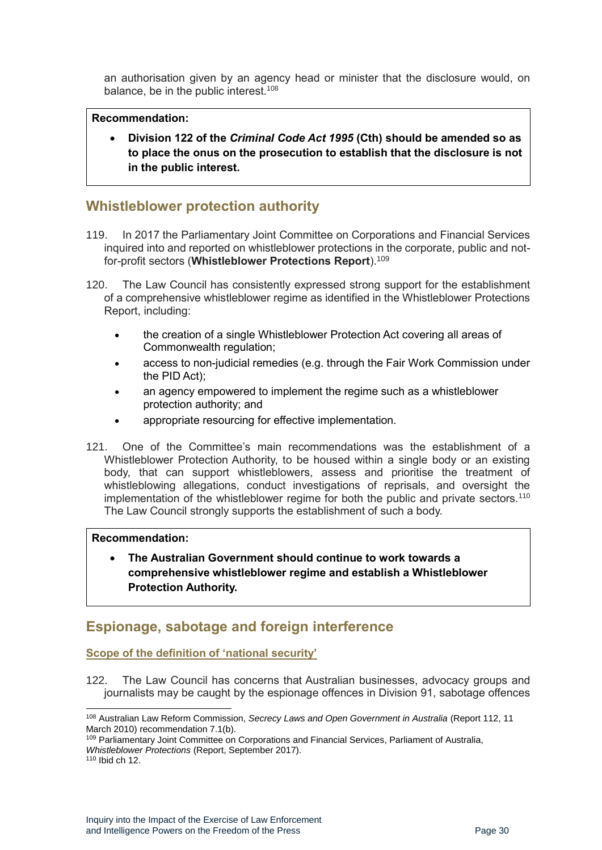an authorisation given by an agency head or minister that the disclosure would, on balance, be in the public interest.<sup>108</sup>

#### **Recommendation:**

• **Division 122 of the** *Criminal Code Act 1995* **(Cth) should be amended so as to place the onus on the prosecution to establish that the disclosure is not in the public interest.**

### <span id="page-29-0"></span>**Whistleblower protection authority**

- 119. In 2017 the Parliamentary Joint Committee on Corporations and Financial Services inquired into and reported on whistleblower protections in the corporate, public and notfor-profit sectors (**Whistleblower Protections Report**).<sup>109</sup>
- 120. The Law Council has consistently expressed strong support for the establishment of a comprehensive whistleblower regime as identified in the Whistleblower Protections Report, including:
	- the creation of a single Whistleblower Protection Act covering all areas of Commonwealth regulation;
	- access to non-judicial remedies (e.g. through the Fair Work Commission under the PID Act);
	- an agency empowered to implement the regime such as a whistleblower protection authority; and
	- appropriate resourcing for effective implementation.
- 121. One of the Committee's main recommendations was the establishment of a Whistleblower Protection Authority, to be housed within a single body or an existing body, that can support whistleblowers, assess and prioritise the treatment of whistleblowing allegations, conduct investigations of reprisals, and oversight the implementation of the whistleblower regime for both the public and private sectors.<sup>110</sup> The Law Council strongly supports the establishment of such a body.

#### **Recommendation:**

• **The Australian Government should continue to work towards a comprehensive whistleblower regime and establish a Whistleblower Protection Authority.**

### <span id="page-29-1"></span>**Espionage, sabotage and foreign interference**

#### <span id="page-29-2"></span>**Scope of the definition of 'national security'**

122. The Law Council has concerns that Australian businesses, advocacy groups and journalists may be caught by the espionage offences in Division 91, sabotage offences

<sup>108</sup> Australian Law Reform Commission, *Secrecy Laws and Open Government in Australia* (Report 112, 11 March 2010) recommendation 7.1(b).

<sup>&</sup>lt;sup>109</sup> Parliamentary Joint Committee on Corporations and Financial Services, Parliament of Australia, *Whistleblower Protections* (Report, September 2017).

<sup>110</sup> Ibid ch 12.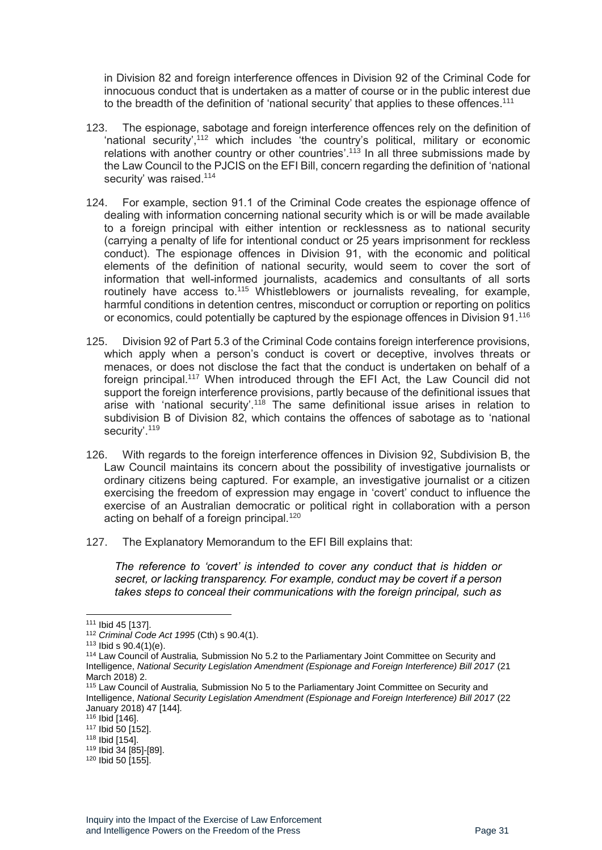in Division 82 and foreign interference offences in Division 92 of the Criminal Code for innocuous conduct that is undertaken as a matter of course or in the public interest due to the breadth of the definition of 'national security' that applies to these offences.<sup>111</sup>

- 123. The espionage, sabotage and foreign interference offences rely on the definition of 'national security', <sup>112</sup> which includes 'the country's political, military or economic relations with another country or other countries'.<sup>113</sup> In all three submissions made by the Law Council to the PJCIS on the EFI Bill, concern regarding the definition of 'national security' was raised.<sup>114</sup>
- 124. For example, section 91.1 of the Criminal Code creates the espionage offence of dealing with information concerning national security which is or will be made available to a foreign principal with either intention or recklessness as to national security (carrying a penalty of life for intentional conduct or 25 years imprisonment for reckless conduct). The espionage offences in Division 91, with the economic and political elements of the definition of national security, would seem to cover the sort of information that well-informed journalists, academics and consultants of all sorts routinely have access to.<sup>115</sup> Whistleblowers or journalists revealing, for example, harmful conditions in detention centres, misconduct or corruption or reporting on politics or economics, could potentially be captured by the espionage offences in Division 91.<sup>116</sup>
- 125. Division 92 of Part 5.3 of the Criminal Code contains foreign interference provisions, which apply when a person's conduct is covert or deceptive, involves threats or menaces, or does not disclose the fact that the conduct is undertaken on behalf of a foreign principal.<sup>117</sup> When introduced through the EFI Act, the Law Council did not support the foreign interference provisions, partly because of the definitional issues that arise with 'national security'.<sup>118</sup> The same definitional issue arises in relation to subdivision B of Division 82, which contains the offences of sabotage as to 'national security'.<sup>119</sup>
- 126. With regards to the foreign interference offences in Division 92, Subdivision B, the Law Council maintains its concern about the possibility of investigative journalists or ordinary citizens being captured. For example, an investigative journalist or a citizen exercising the freedom of expression may engage in 'covert' conduct to influence the exercise of an Australian democratic or political right in collaboration with a person acting on behalf of a foreign principal.<sup>120</sup>
- 127. The Explanatory Memorandum to the EFI Bill explains that:

*The reference to 'covert' is intended to cover any conduct that is hidden or secret, or lacking transparency. For example, conduct may be covert if a person takes steps to conceal their communications with the foreign principal, such as* 

<sup>111</sup> Ibid 45 [137].

<sup>112</sup> *Criminal Code Act 1995* (Cth) s 90.4(1).

 $113$  Ibid s 90.4(1)(e).

<sup>114</sup> Law Council of Australia*,* Submission No 5.2 to the Parliamentary Joint Committee on Security and Intelligence, *National Security Legislation Amendment (Espionage and Foreign Interference) Bill 2017* (21 March 2018) 2.

<sup>115</sup> Law Council of Australia*,* Submission No 5 to the Parliamentary Joint Committee on Security and Intelligence, *National Security Legislation Amendment (Espionage and Foreign Interference) Bill 2017* (22 January 2018) 47 [144].

<sup>116</sup> Ibid [146].

<sup>117</sup> Ibid 50 [152].

<sup>118</sup> Ibid [154].

<sup>119</sup> Ibid 34 [85]-[89].

<sup>120</sup> Ibid 50 [155].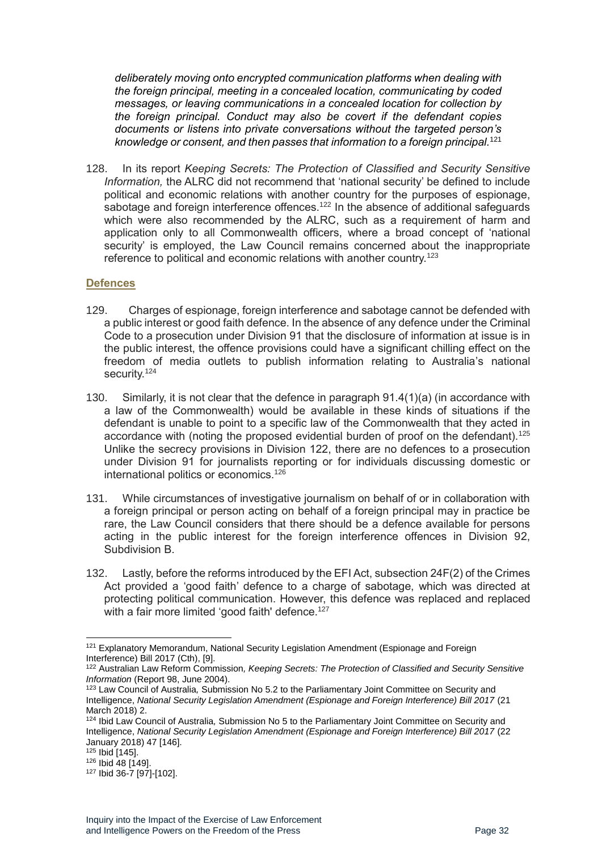*deliberately moving onto encrypted communication platforms when dealing with the foreign principal, meeting in a concealed location, communicating by coded messages, or leaving communications in a concealed location for collection by the foreign principal. Conduct may also be covert if the defendant copies documents or listens into private conversations without the targeted person's knowledge or consent, and then passes that information to a foreign principal.* 121

128. In its report *Keeping Secrets: The Protection of Classified and Security Sensitive Information,* the ALRC did not recommend that 'national security' be defined to include political and economic relations with another country for the purposes of espionage, sabotage and foreign interference offences.<sup>122</sup> In the absence of additional safeguards which were also recommended by the ALRC, such as a requirement of harm and application only to all Commonwealth officers, where a broad concept of 'national security' is employed, the Law Council remains concerned about the inappropriate reference to political and economic relations with another country.<sup>123</sup>

#### <span id="page-31-0"></span>**Defences**

- 129. Charges of espionage, foreign interference and sabotage cannot be defended with a public interest or good faith defence. In the absence of any defence under the Criminal Code to a prosecution under Division 91 that the disclosure of information at issue is in the public interest, the offence provisions could have a significant chilling effect on the freedom of media outlets to publish information relating to Australia's national security.<sup>124</sup>
- 130. Similarly, it is not clear that the defence in paragraph 91.4(1)(a) (in accordance with a law of the Commonwealth) would be available in these kinds of situations if the defendant is unable to point to a specific law of the Commonwealth that they acted in accordance with (noting the proposed evidential burden of proof on the defendant).<sup>125</sup> Unlike the secrecy provisions in Division 122, there are no defences to a prosecution under Division 91 for journalists reporting or for individuals discussing domestic or international politics or economics.<sup>126</sup>
- 131. While circumstances of investigative journalism on behalf of or in collaboration with a foreign principal or person acting on behalf of a foreign principal may in practice be rare, the Law Council considers that there should be a defence available for persons acting in the public interest for the foreign interference offences in Division 92, Subdivision B.
- 132. Lastly, before the reforms introduced by the EFI Act, subsection 24F(2) of the Crimes Act provided a 'good faith' defence to a charge of sabotage, which was directed at protecting political communication. However, this defence was replaced and replaced with a fair more limited 'good faith' defence.<sup>127</sup>

<sup>&</sup>lt;sup>121</sup> Explanatory Memorandum, National Security Legislation Amendment (Espionage and Foreign Interference) Bill 2017 (Cth), [9].

<sup>122</sup> Australian Law Reform Commission*, Keeping Secrets: The Protection of Classified and Security Sensitive Information* (Report 98, June 2004).

<sup>123</sup> Law Council of Australia*,* Submission No 5.2 to the Parliamentary Joint Committee on Security and Intelligence, *National Security Legislation Amendment (Espionage and Foreign Interference) Bill 2017* (21 March 2018) 2.

<sup>124</sup> Ibid Law Council of Australia*,* Submission No 5 to the Parliamentary Joint Committee on Security and Intelligence, *National Security Legislation Amendment (Espionage and Foreign Interference) Bill 2017* (22 January 2018) 47 [146].

 $125$  Ibid  $[145]$ .

<sup>126</sup> Ibid 48 [149].

<sup>127</sup> Ibid 36-7 [97]-[102].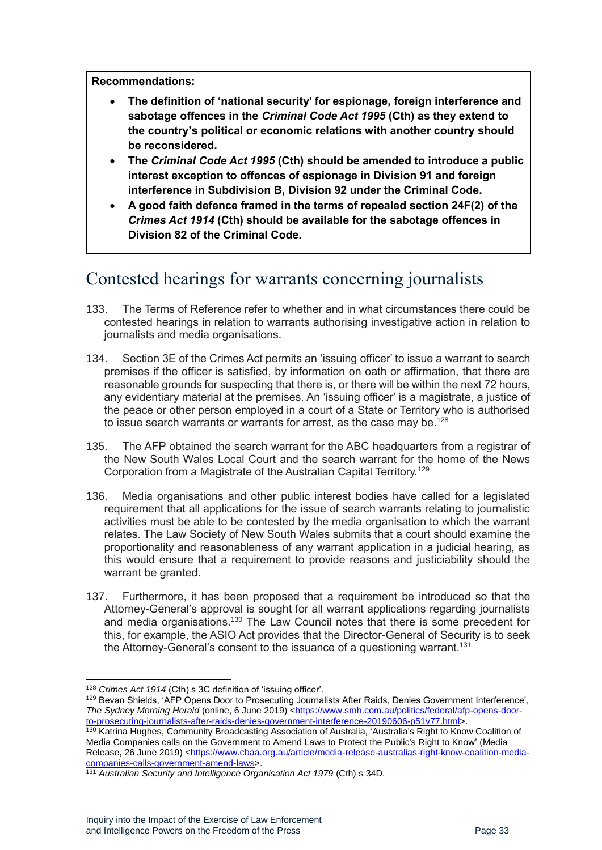**Recommendations:** 

- **The definition of 'national security' for espionage, foreign interference and sabotage offences in the** *Criminal Code Act 1995* **(Cth) as they extend to the country's political or economic relations with another country should be reconsidered.**
- **The** *Criminal Code Act 1995* **(Cth) should be amended to introduce a public interest exception to offences of espionage in Division 91 and foreign interference in Subdivision B, Division 92 under the Criminal Code.**
- **A good faith defence framed in the terms of repealed section 24F(2) of the**  *Crimes Act 1914* **(Cth) should be available for the sabotage offences in Division 82 of the Criminal Code.**

### <span id="page-32-0"></span>Contested hearings for warrants concerning journalists

- 133. The Terms of Reference refer to whether and in what circumstances there could be contested hearings in relation to warrants authorising investigative action in relation to journalists and media organisations.
- 134. Section 3E of the Crimes Act permits an 'issuing officer' to issue a warrant to search premises if the officer is satisfied, by information on oath or affirmation, that there are reasonable grounds for suspecting that there is, or there will be within the next 72 hours, any evidentiary material at the premises. An 'issuing officer' is a magistrate, a justice of the peace or other person employed in a court of a State or Territory who is authorised to issue search warrants or warrants for arrest, as the case may be.<sup>128</sup>
- 135. The AFP obtained the search warrant for the ABC headquarters from a registrar of the New South Wales Local Court and the search warrant for the home of the News Corporation from a Magistrate of the Australian Capital Territory.<sup>129</sup>
- 136. Media organisations and other public interest bodies have called for a legislated requirement that all applications for the issue of search warrants relating to journalistic activities must be able to be contested by the media organisation to which the warrant relates. The Law Society of New South Wales submits that a court should examine the proportionality and reasonableness of any warrant application in a judicial hearing, as this would ensure that a requirement to provide reasons and justiciability should the warrant be granted.
- 137. Furthermore, it has been proposed that a requirement be introduced so that the Attorney-General's approval is sought for all warrant applications regarding journalists and media organisations.<sup>130</sup> The Law Council notes that there is some precedent for this, for example, the ASIO Act provides that the Director-General of Security is to seek the Attorney-General's consent to the issuance of a questioning warrant.<sup>131</sup>

<sup>128</sup> *Crimes Act 1914* (Cth) s 3C definition of 'issuing officer'.

<sup>&</sup>lt;sup>129</sup> Bevan Shields, 'AFP Opens Door to Prosecuting Journalists After Raids, Denies Government Interference', *The Sydney Morning Herald* (online, 6 June 2019) [<https://www.smh.com.au/politics/federal/afp-opens-door](https://www.smh.com.au/politics/federal/afp-opens-door-to-prosecuting-journalists-after-raids-denies-government-interference-20190606-p51v77.html)[to-prosecuting-journalists-after-raids-denies-government-interference-20190606-p51v77.html>](https://www.smh.com.au/politics/federal/afp-opens-door-to-prosecuting-journalists-after-raids-denies-government-interference-20190606-p51v77.html).

<sup>130</sup> Katrina Hughes, Community Broadcasting Association of Australia, 'Australia's Right to Know Coalition of Media Companies calls on the Government to Amend Laws to Protect the Public's Right to Know' (Media Release, 26 June 2019) [<https://www.cbaa.org.au/article/media-release-australias-right-know-coalition-media](https://www.cbaa.org.au/article/media-release-australias-right-know-coalition-media-companies-calls-government-amend-laws)[companies-calls-government-amend-laws>](https://www.cbaa.org.au/article/media-release-australias-right-know-coalition-media-companies-calls-government-amend-laws).

<sup>&</sup>lt;sup>131</sup> Australian Security and Intelligence Organisation Act 1979 (Cth) s 34D.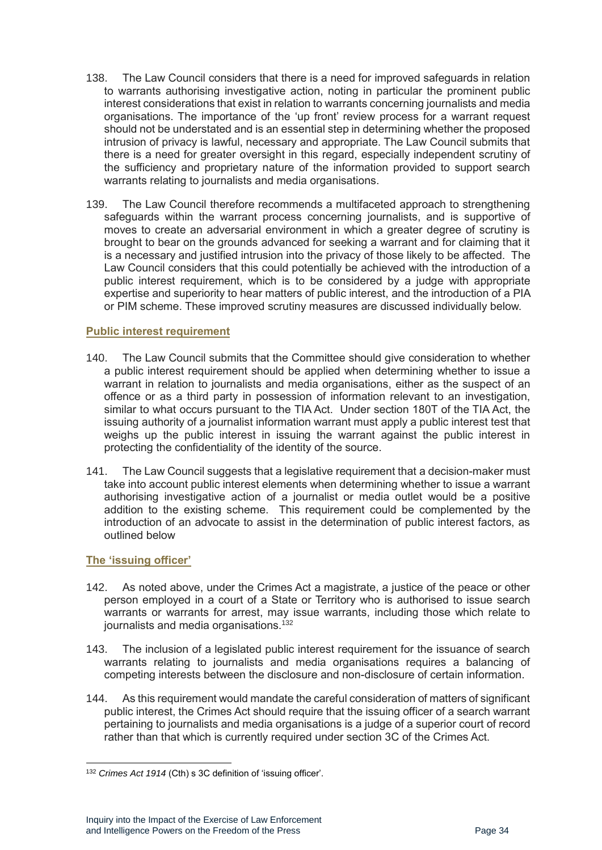- 138. The Law Council considers that there is a need for improved safeguards in relation to warrants authorising investigative action, noting in particular the prominent public interest considerations that exist in relation to warrants concerning journalists and media organisations. The importance of the 'up front' review process for a warrant request should not be understated and is an essential step in determining whether the proposed intrusion of privacy is lawful, necessary and appropriate. The Law Council submits that there is a need for greater oversight in this regard, especially independent scrutiny of the sufficiency and proprietary nature of the information provided to support search warrants relating to journalists and media organisations.
- 139. The Law Council therefore recommends a multifaceted approach to strengthening safeguards within the warrant process concerning journalists, and is supportive of moves to create an adversarial environment in which a greater degree of scrutiny is brought to bear on the grounds advanced for seeking a warrant and for claiming that it is a necessary and justified intrusion into the privacy of those likely to be affected. The Law Council considers that this could potentially be achieved with the introduction of a public interest requirement, which is to be considered by a judge with appropriate expertise and superiority to hear matters of public interest, and the introduction of a PIA or PIM scheme. These improved scrutiny measures are discussed individually below.

#### <span id="page-33-0"></span>**Public interest requirement**

- 140. The Law Council submits that the Committee should give consideration to whether a public interest requirement should be applied when determining whether to issue a warrant in relation to journalists and media organisations, either as the suspect of an offence or as a third party in possession of information relevant to an investigation, similar to what occurs pursuant to the TIA Act. Under section 180T of the TIA Act, the issuing authority of a journalist information warrant must apply a public interest test that weighs up the public interest in issuing the warrant against the public interest in protecting the confidentiality of the identity of the source.
- 141. The Law Council suggests that a legislative requirement that a decision-maker must take into account public interest elements when determining whether to issue a warrant authorising investigative action of a journalist or media outlet would be a positive addition to the existing scheme. This requirement could be complemented by the introduction of an advocate to assist in the determination of public interest factors, as outlined below

#### <span id="page-33-1"></span>**The 'issuing officer'**

- 142. As noted above, under the Crimes Act a magistrate, a justice of the peace or other person employed in a court of a State or Territory who is authorised to issue search warrants or warrants for arrest, may issue warrants, including those which relate to journalists and media organisations. 132
- 143. The inclusion of a legislated public interest requirement for the issuance of search warrants relating to journalists and media organisations requires a balancing of competing interests between the disclosure and non-disclosure of certain information.
- 144. As this requirement would mandate the careful consideration of matters of significant public interest, the Crimes Act should require that the issuing officer of a search warrant pertaining to journalists and media organisations is a judge of a superior court of record rather than that which is currently required under section 3C of the Crimes Act.

<sup>132</sup> *Crimes Act 1914* (Cth) s 3C definition of 'issuing officer'.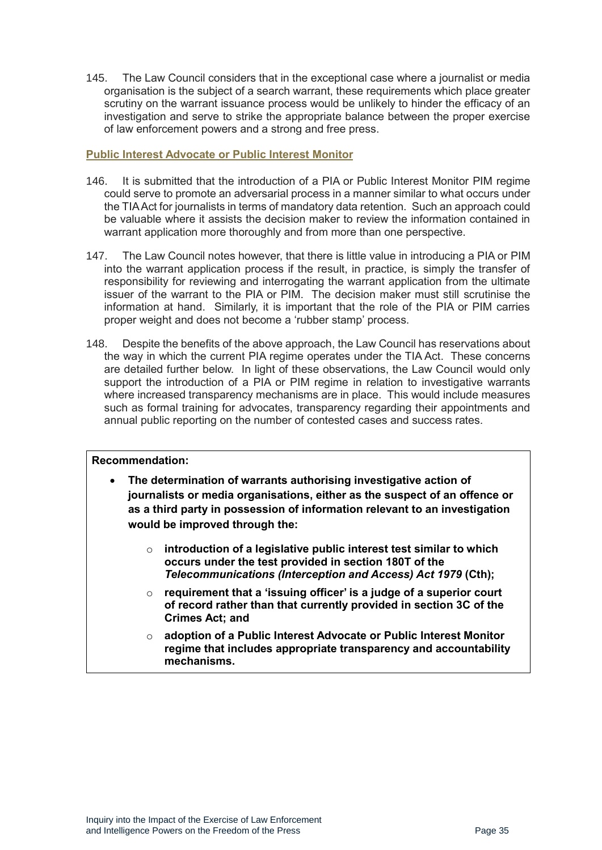145. The Law Council considers that in the exceptional case where a journalist or media organisation is the subject of a search warrant, these requirements which place greater scrutiny on the warrant issuance process would be unlikely to hinder the efficacy of an investigation and serve to strike the appropriate balance between the proper exercise of law enforcement powers and a strong and free press.

#### <span id="page-34-0"></span>**Public Interest Advocate or Public Interest Monitor**

- 146. It is submitted that the introduction of a PIA or Public Interest Monitor PIM regime could serve to promote an adversarial process in a manner similar to what occurs under the TIA Act for journalists in terms of mandatory data retention. Such an approach could be valuable where it assists the decision maker to review the information contained in warrant application more thoroughly and from more than one perspective.
- 147. The Law Council notes however, that there is little value in introducing a PIA or PIM into the warrant application process if the result, in practice, is simply the transfer of responsibility for reviewing and interrogating the warrant application from the ultimate issuer of the warrant to the PIA or PIM. The decision maker must still scrutinise the information at hand. Similarly, it is important that the role of the PIA or PIM carries proper weight and does not become a 'rubber stamp' process.
- 148. Despite the benefits of the above approach, the Law Council has reservations about the way in which the current PIA regime operates under the TIA Act. These concerns are detailed further below. In light of these observations, the Law Council would only support the introduction of a PIA or PIM regime in relation to investigative warrants where increased transparency mechanisms are in place. This would include measures such as formal training for advocates, transparency regarding their appointments and annual public reporting on the number of contested cases and success rates.

#### **Recommendation:**

- **The determination of warrants authorising investigative action of journalists or media organisations, either as the suspect of an offence or as a third party in possession of information relevant to an investigation would be improved through the:** 
	- o **introduction of a legislative public interest test similar to which occurs under the test provided in section 180T of the**  *Telecommunications (Interception and Access) Act 1979* **(Cth);**
	- o **requirement that a 'issuing officer' is a judge of a superior court of record rather than that currently provided in section 3C of the Crimes Act; and**
	- o **adoption of a Public Interest Advocate or Public Interest Monitor regime that includes appropriate transparency and accountability mechanisms.**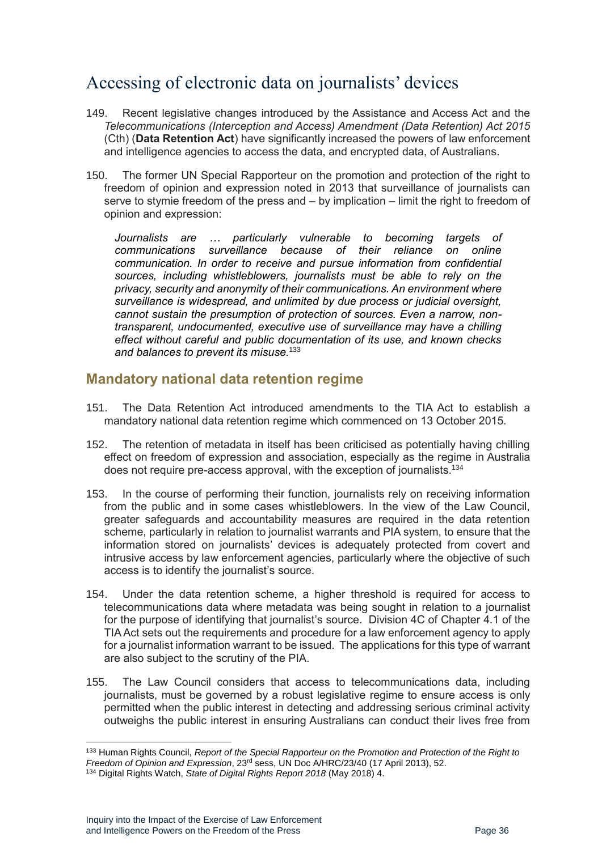# <span id="page-35-0"></span>Accessing of electronic data on journalists' devices

- 149. Recent legislative changes introduced by the Assistance and Access Act and the *Telecommunications (Interception and Access) Amendment (Data Retention) Act 2015* (Cth) (**Data Retention Act**) have significantly increased the powers of law enforcement and intelligence agencies to access the data, and encrypted data, of Australians.
- 150. The former UN Special Rapporteur on the promotion and protection of the right to freedom of opinion and expression noted in 2013 that surveillance of journalists can serve to stymie freedom of the press and – by implication – limit the right to freedom of opinion and expression:

*Journalists are … particularly vulnerable to becoming targets of communications surveillance because of their reliance on online communication. In order to receive and pursue information from confidential sources, including whistleblowers, journalists must be able to rely on the privacy, security and anonymity of their communications. An environment where surveillance is widespread, and unlimited by due process or judicial oversight, cannot sustain the presumption of protection of sources. Even a narrow, nontransparent, undocumented, executive use of surveillance may have a chilling effect without careful and public documentation of its use, and known checks and balances to prevent its misuse.*<sup>133</sup>

### <span id="page-35-1"></span>**Mandatory national data retention regime**

- 151. The Data Retention Act introduced amendments to the TIA Act to establish a mandatory national data retention regime which commenced on 13 October 2015.
- 152. The retention of metadata in itself has been criticised as potentially having chilling effect on freedom of expression and association, especially as the regime in Australia does not require pre-access approval, with the exception of journalists.<sup>134</sup>
- 153. In the course of performing their function, journalists rely on receiving information from the public and in some cases whistleblowers. In the view of the Law Council, greater safeguards and accountability measures are required in the data retention scheme, particularly in relation to journalist warrants and PIA system, to ensure that the information stored on journalists' devices is adequately protected from covert and intrusive access by law enforcement agencies, particularly where the objective of such access is to identify the journalist's source.
- 154. Under the data retention scheme, a higher threshold is required for access to telecommunications data where metadata was being sought in relation to a journalist for the purpose of identifying that journalist's source. Division 4C of Chapter 4.1 of the TIA Act sets out the requirements and procedure for a law enforcement agency to apply for a journalist information warrant to be issued. The applications for this type of warrant are also subject to the scrutiny of the PIA.
- 155. The Law Council considers that access to telecommunications data, including journalists, must be governed by a robust legislative regime to ensure access is only permitted when the public interest in detecting and addressing serious criminal activity outweighs the public interest in ensuring Australians can conduct their lives free from

<sup>133</sup> Human Rights Council, *Report of the Special Rapporteur on the Promotion and Protection of the Right to Freedom of Opinion and Expression*, 23 rd sess, UN Doc A/HRC/23/40 (17 April 2013), 52.

<sup>134</sup> Digital Rights Watch, *State of Digital Rights Report 2018* (May 2018) 4.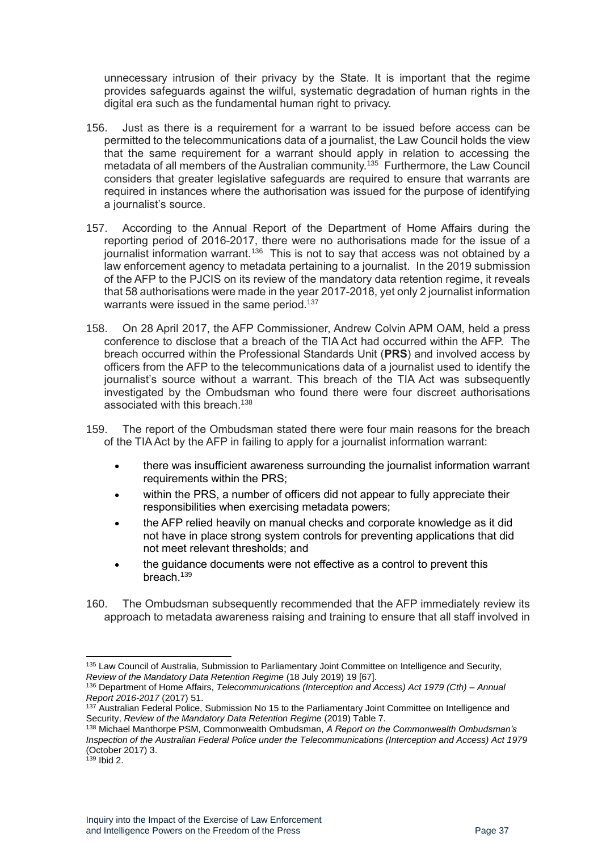unnecessary intrusion of their privacy by the State. It is important that the regime provides safeguards against the wilful, systematic degradation of human rights in the digital era such as the fundamental human right to privacy.

- 156. Just as there is a requirement for a warrant to be issued before access can be permitted to the telecommunications data of a journalist, the Law Council holds the view that the same requirement for a warrant should apply in relation to accessing the metadata of all members of the Australian community.<sup>135</sup> Furthermore, the Law Council considers that greater legislative safeguards are required to ensure that warrants are required in instances where the authorisation was issued for the purpose of identifying a journalist's source.
- 157. According to the Annual Report of the Department of Home Affairs during the reporting period of 2016-2017, there were no authorisations made for the issue of a journalist information warrant.<sup>136</sup> This is not to say that access was not obtained by a law enforcement agency to metadata pertaining to a journalist. In the 2019 submission of the AFP to the PJCIS on its review of the mandatory data retention regime, it reveals that 58 authorisations were made in the year 2017-2018, yet only 2 journalist information warrants were issued in the same period.<sup>137</sup>
- 158. On 28 April 2017, the AFP Commissioner, Andrew Colvin APM OAM, held a press conference to disclose that a breach of the TIA Act had occurred within the AFP. The breach occurred within the Professional Standards Unit (**PRS**) and involved access by officers from the AFP to the telecommunications data of a journalist used to identify the journalist's source without a warrant. This breach of the TIA Act was subsequently investigated by the Ombudsman who found there were four discreet authorisations associated with this breach.<sup>138</sup>
- 159. The report of the Ombudsman stated there were four main reasons for the breach of the TIA Act by the AFP in failing to apply for a journalist information warrant:
	- there was insufficient awareness surrounding the journalist information warrant requirements within the PRS:
	- within the PRS, a number of officers did not appear to fully appreciate their responsibilities when exercising metadata powers;
	- the AFP relied heavily on manual checks and corporate knowledge as it did not have in place strong system controls for preventing applications that did not meet relevant thresholds; and
	- the guidance documents were not effective as a control to prevent this breach.<sup>139</sup>
- 160. The Ombudsman subsequently recommended that the AFP immediately review its approach to metadata awareness raising and training to ensure that all staff involved in

<sup>135</sup> Law Council of Australia, Submission to Parliamentary Joint Committee on Intelligence and Security, *Review of the Mandatory Data Retention Regime* (18 July 2019) 19 [67].

<sup>136</sup> Department of Home Affairs, *Telecommunications (Interception and Access) Act 1979 (Cth) – Annual Report 2016-2017* (2017) 51.

<sup>&</sup>lt;sup>137</sup> Australian Federal Police, Submission No 15 to the Parliamentary Joint Committee on Intelligence and Security, *Review of the Mandatory Data Retention Regime* (2019) Table 7.

<sup>138</sup> Michael Manthorpe PSM, Commonwealth Ombudsman, *A Report on the Commonwealth Ombudsman's Inspection of the Australian Federal Police under the Telecommunications (Interception and Access) Act 1979* (October 2017) 3.

 $139$  lbid 2.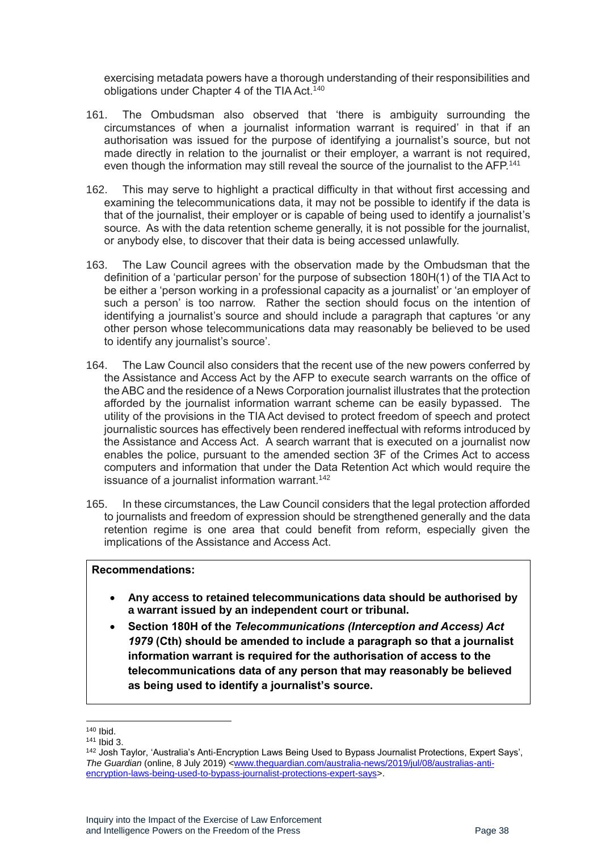exercising metadata powers have a thorough understanding of their responsibilities and obligations under Chapter 4 of the TIA Act.<sup>140</sup>

- 161. The Ombudsman also observed that 'there is ambiguity surrounding the circumstances of when a journalist information warrant is required' in that if an authorisation was issued for the purpose of identifying a journalist's source, but not made directly in relation to the journalist or their employer, a warrant is not required, even though the information may still reveal the source of the journalist to the AFP.<sup>141</sup>
- 162. This may serve to highlight a practical difficulty in that without first accessing and examining the telecommunications data, it may not be possible to identify if the data is that of the journalist, their employer or is capable of being used to identify a journalist's source. As with the data retention scheme generally, it is not possible for the journalist, or anybody else, to discover that their data is being accessed unlawfully.
- 163. The Law Council agrees with the observation made by the Ombudsman that the definition of a 'particular person' for the purpose of subsection 180H(1) of the TIA Act to be either a 'person working in a professional capacity as a journalist' or 'an employer of such a person' is too narrow. Rather the section should focus on the intention of identifying a journalist's source and should include a paragraph that captures 'or any other person whose telecommunications data may reasonably be believed to be used to identify any journalist's source'.
- 164. The Law Council also considers that the recent use of the new powers conferred by the Assistance and Access Act by the AFP to execute search warrants on the office of the ABC and the residence of a News Corporation journalist illustrates that the protection afforded by the journalist information warrant scheme can be easily bypassed. The utility of the provisions in the TIA Act devised to protect freedom of speech and protect journalistic sources has effectively been rendered ineffectual with reforms introduced by the Assistance and Access Act. A search warrant that is executed on a journalist now enables the police, pursuant to the amended section 3F of the Crimes Act to access computers and information that under the Data Retention Act which would require the issuance of a journalist information warrant.<sup>142</sup>
- 165. In these circumstances, the Law Council considers that the legal protection afforded to journalists and freedom of expression should be strengthened generally and the data retention regime is one area that could benefit from reform, especially given the implications of the Assistance and Access Act.

#### **Recommendations:**

- **Any access to retained telecommunications data should be authorised by a warrant issued by an independent court or tribunal.**
- **Section 180H of the** *Telecommunications (Interception and Access) Act 1979* **(Cth) should be amended to include a paragraph so that a journalist information warrant is required for the authorisation of access to the telecommunications data of any person that may reasonably be believed as being used to identify a journalist's source.**

<sup>140</sup> Ibid.

<sup>141</sup> Ibid 3.

<sup>&</sup>lt;sup>142</sup> Josh Taylor, 'Australia's Anti-Encryption Laws Being Used to Bypass Journalist Protections, Expert Says', *The Guardian* (online, 8 July 2019) [<www.theguardian.com/australia-news/2019/jul/08/australias-anti](http://www.theguardian.com/australia-news/2019/jul/08/australias-anti-encryption-laws-being-used-to-bypass-journalist-protections-expert-says)[encryption-laws-being-used-to-bypass-journalist-protections-expert-says>](http://www.theguardian.com/australia-news/2019/jul/08/australias-anti-encryption-laws-being-used-to-bypass-journalist-protections-expert-says).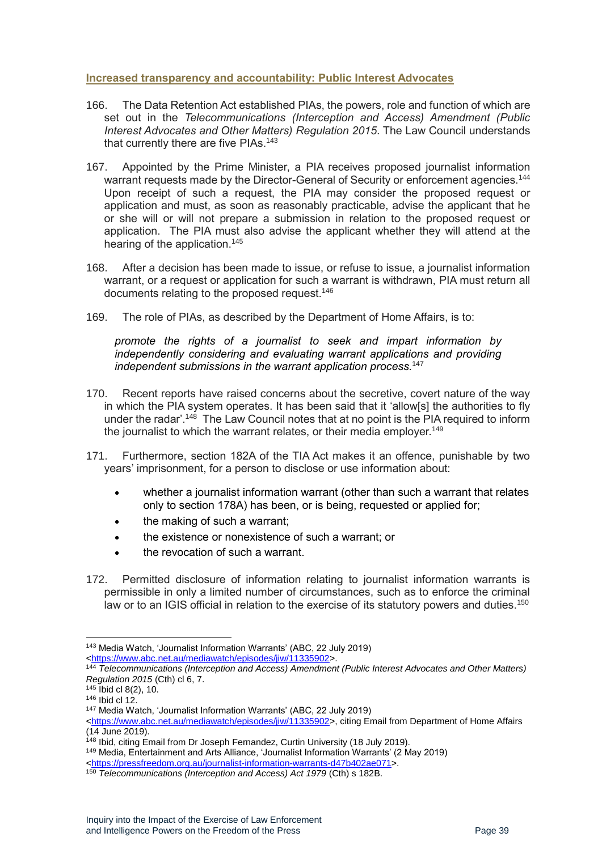#### <span id="page-38-0"></span>**Increased transparency and accountability: Public Interest Advocates**

- 166. The Data Retention Act established PIAs, the powers, role and function of which are set out in the *Telecommunications (Interception and Access) Amendment (Public Interest Advocates and Other Matters) Regulation 2015*. The Law Council understands that currently there are five PIAs.<sup>143</sup>
- 167. Appointed by the Prime Minister, a PIA receives proposed journalist information warrant requests made by the Director-General of Security or enforcement agencies.<sup>144</sup> Upon receipt of such a request, the PIA may consider the proposed request or application and must, as soon as reasonably practicable, advise the applicant that he or she will or will not prepare a submission in relation to the proposed request or application. The PIA must also advise the applicant whether they will attend at the hearing of the application.<sup>145</sup>
- 168. After a decision has been made to issue, or refuse to issue, a journalist information warrant, or a request or application for such a warrant is withdrawn, PIA must return all documents relating to the proposed request.<sup>146</sup>
- 169. The role of PIAs, as described by the Department of Home Affairs, is to:

*promote the rights of a journalist to seek and impart information by independently considering and evaluating warrant applications and providing independent submissions in the warrant application process.*<sup>147</sup>

- 170. Recent reports have raised concerns about the secretive, covert nature of the way in which the PIA system operates. It has been said that it 'allow[s] the authorities to fly under the radar'.<sup>148</sup> The Law Council notes that at no point is the PIA required to inform the journalist to which the warrant relates, or their media employer.<sup>149</sup>
- 171. Furthermore, section 182A of the TIA Act makes it an offence, punishable by two years' imprisonment, for a person to disclose or use information about:
	- whether a journalist information warrant (other than such a warrant that relates only to section 178A) has been, or is being, requested or applied for;
	- the making of such a warrant:
	- the existence or nonexistence of such a warrant; or
	- the revocation of such a warrant.
- 172. Permitted disclosure of information relating to journalist information warrants is permissible in only a limited number of circumstances, such as to enforce the criminal law or to an IGIS official in relation to the exercise of its statutory powers and duties.<sup>150</sup>

<sup>143</sup> Media Watch, 'Journalist Information Warrants' (ABC, 22 July 2019) [<https://www.abc.net.au/mediawatch/episodes/jiw/11335902>](https://www.abc.net.au/mediawatch/episodes/jiw/11335902).

<sup>144</sup> *Telecommunications (Interception and Access) Amendment (Public Interest Advocates and Other Matters) Regulation 2015* (Cth) cl 6, 7.

 $145$  Ibid cl 8(2), 10.

<sup>146</sup> Ibid cl 12.

<sup>147</sup> Media Watch, 'Journalist Information Warrants' (ABC, 22 July 2019)

[<sup>&</sup>lt;https://www.abc.net.au/mediawatch/episodes/jiw/11335902>](https://www.abc.net.au/mediawatch/episodes/jiw/11335902), citing Email from Department of Home Affairs (14 June 2019).

<sup>&</sup>lt;sup>148</sup> Ibid, citing Email from Dr Joseph Fernandez, Curtin University (18 July 2019).

<sup>149</sup> Media, Entertainment and Arts Alliance, 'Journalist Information Warrants' (2 May 2019)

[<sup>&</sup>lt;https://pressfreedom.org.au/journalist-information-warrants-d47b402ae071>](https://pressfreedom.org.au/journalist-information-warrants-d47b402ae071).

<sup>&</sup>lt;sup>150</sup> Telecommunications (Interception and Access) Act 1979 (Cth) s 182B.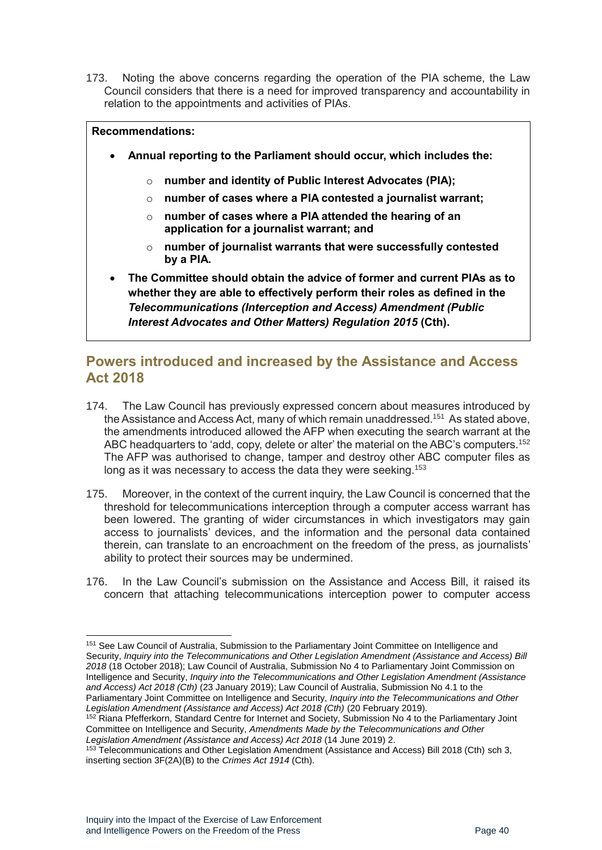173. Noting the above concerns regarding the operation of the PIA scheme, the Law Council considers that there is a need for improved transparency and accountability in relation to the appointments and activities of PIAs.

#### **Recommendations:**

- **Annual reporting to the Parliament should occur, which includes the:**
	- o **number and identity of Public Interest Advocates (PIA);**
	- o **number of cases where a PIA contested a journalist warrant;**
	- o **number of cases where a PIA attended the hearing of an application for a journalist warrant; and**
	- o **number of journalist warrants that were successfully contested by a PIA.**
- **The Committee should obtain the advice of former and current PIAs as to whether they are able to effectively perform their roles as defined in the**  *Telecommunications (Interception and Access) Amendment (Public Interest Advocates and Other Matters) Regulation 2015* **(Cth).**

### <span id="page-39-0"></span>**Powers introduced and increased by the Assistance and Access Act 2018**

- 174. The Law Council has previously expressed concern about measures introduced by the Assistance and Access Act, many of which remain unaddressed.<sup>151</sup> As stated above, the amendments introduced allowed the AFP when executing the search warrant at the ABC headquarters to 'add, copy, delete or alter' the material on the ABC's computers.<sup>152</sup> The AFP was authorised to change, tamper and destroy other ABC computer files as long as it was necessary to access the data they were seeking.<sup>153</sup>
- 175. Moreover, in the context of the current inquiry, the Law Council is concerned that the threshold for telecommunications interception through a computer access warrant has been lowered. The granting of wider circumstances in which investigators may gain access to journalists' devices, and the information and the personal data contained therein, can translate to an encroachment on the freedom of the press, as journalists' ability to protect their sources may be undermined.
- 176. In the Law Council's submission on the Assistance and Access Bill, it raised its concern that attaching telecommunications interception power to computer access

<sup>151</sup> See Law Council of Australia, Submission to the Parliamentary Joint Committee on Intelligence and Security, *Inquiry into the Telecommunications and Other Legislation Amendment (Assistance and Access) Bill 2018* (18 October 2018); Law Council of Australia, Submission No 4 to Parliamentary Joint Commission on Intelligence and Security, *Inquiry into the Telecommunications and Other Legislation Amendment (Assistance and Access) Act 2018 (Cth)* (23 January 2019); Law Council of Australia, Submission No 4.1 to the Parliamentary Joint Committee on Intelligence and Security, *Inquiry into the Telecommunications and Other Legislation Amendment (Assistance and Access) Act 2018 (Cth)* (20 February 2019).

<sup>152</sup> Riana Pfefferkorn, Standard Centre for Internet and Society, Submission No 4 to the Parliamentary Joint Committee on Intelligence and Security, *Amendments Made by the Telecommunications and Other Legislation Amendment (Assistance and Access) Act 2018* (14 June 2019) 2.

<sup>153</sup> Telecommunications and Other Legislation Amendment (Assistance and Access) Bill 2018 (Cth) sch 3, inserting section 3F(2A)(B) to the *Crimes Act 1914* (Cth).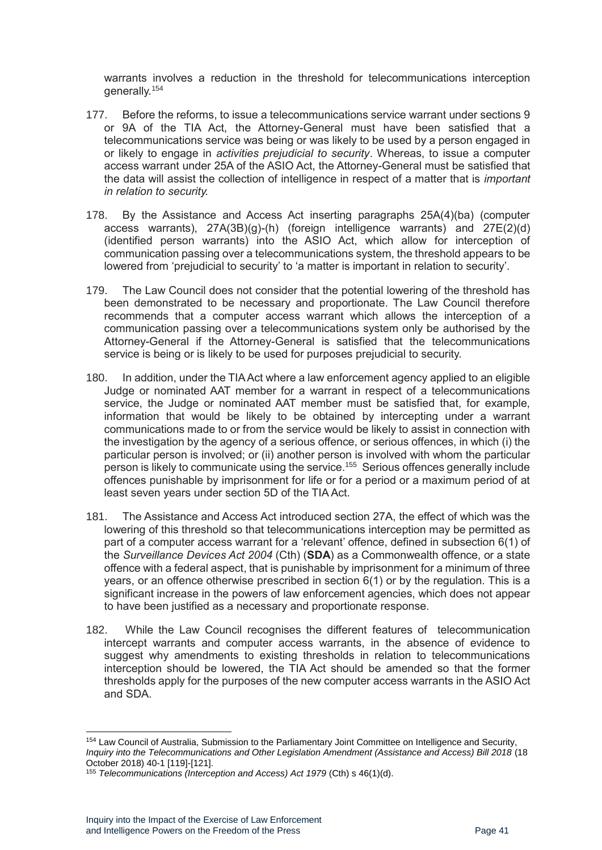warrants involves a reduction in the threshold for telecommunications interception generally.<sup>154</sup>

- 177. Before the reforms, to issue a telecommunications service warrant under sections 9 or 9A of the TIA Act, the Attorney-General must have been satisfied that a telecommunications service was being or was likely to be used by a person engaged in or likely to engage in *activities prejudicial to security*. Whereas, to issue a computer access warrant under 25A of the ASIO Act, the Attorney-General must be satisfied that the data will assist the collection of intelligence in respect of a matter that is *important in relation to security.*
- 178. By the Assistance and Access Act inserting paragraphs 25A(4)(ba) (computer access warrants),  $27A(3B)(g)-(h)$  (foreign intelligence warrants) and  $27E(2)(d)$ (identified person warrants) into the ASIO Act, which allow for interception of communication passing over a telecommunications system, the threshold appears to be lowered from 'prejudicial to security' to 'a matter is important in relation to security'.
- 179. The Law Council does not consider that the potential lowering of the threshold has been demonstrated to be necessary and proportionate. The Law Council therefore recommends that a computer access warrant which allows the interception of a communication passing over a telecommunications system only be authorised by the Attorney-General if the Attorney-General is satisfied that the telecommunications service is being or is likely to be used for purposes prejudicial to security.
- 180. In addition, under the TIA Act where a law enforcement agency applied to an eligible Judge or nominated AAT member for a warrant in respect of a telecommunications service, the Judge or nominated AAT member must be satisfied that, for example, information that would be likely to be obtained by intercepting under a warrant communications made to or from the service would be likely to assist in connection with the investigation by the agency of a serious offence, or serious offences, in which (i) the particular person is involved; or (ii) another person is involved with whom the particular person is likely to communicate using the service.<sup>155</sup> Serious offences generally include offences punishable by imprisonment for life or for a period or a maximum period of at least seven years under section 5D of the TIA Act.
- 181. The Assistance and Access Act introduced section 27A, the effect of which was the lowering of this threshold so that telecommunications interception may be permitted as part of a computer access warrant for a 'relevant' offence, defined in subsection 6(1) of the *Surveillance Devices Act 2004* (Cth) (**SDA**) as a Commonwealth offence, or a state offence with a federal aspect, that is punishable by imprisonment for a minimum of three years, or an offence otherwise prescribed in section 6(1) or by the regulation. This is a significant increase in the powers of law enforcement agencies, which does not appear to have been justified as a necessary and proportionate response.
- 182. While the Law Council recognises the different features of telecommunication intercept warrants and computer access warrants, in the absence of evidence to suggest why amendments to existing thresholds in relation to telecommunications interception should be lowered, the TIA Act should be amended so that the former thresholds apply for the purposes of the new computer access warrants in the ASIO Act and SDA.

<sup>154</sup> Law Council of Australia, Submission to the Parliamentary Joint Committee on Intelligence and Security, *Inquiry into the Telecommunications and Other Legislation Amendment (Assistance and Access) Bill 2018* (18 October 2018) 40-1 [119]-[121].

<sup>155</sup> *Telecommunications (Interception and Access) Act 1979* (Cth) s 46(1)(d).